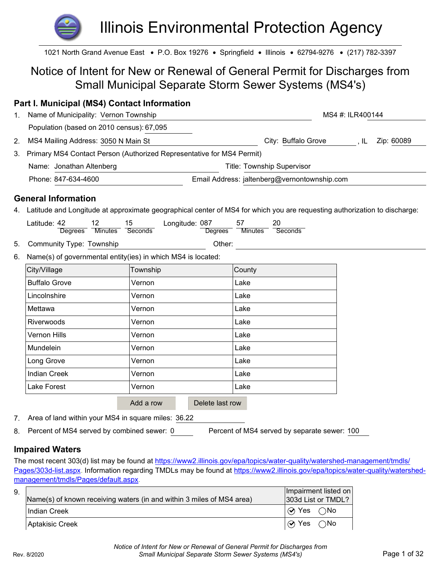# Illinois Environmental Protection Agency

1021 North Grand Avenue East • P.O. Box 19276 • Springfield • Illinois • 62794-9276 • (217) 782-3397

## Notice of Intent for New or Renewal of General Permit for Discharges from Small Municipal Separate Storm Sewer Systems (MS4's)

| <b>Part I. Municipal (MS4) Contact Information</b>                          |                      |                                                                                                                           |                               |
|-----------------------------------------------------------------------------|----------------------|---------------------------------------------------------------------------------------------------------------------------|-------------------------------|
| Name of Municipality: Vernon Township<br>1.                                 |                      |                                                                                                                           | MS4 #: ILR400144              |
| Population (based on 2010 census): 67,095                                   |                      |                                                                                                                           |                               |
| MS4 Mailing Address: 3050 N Main St<br>2.                                   |                      | City: Buffalo Grove                                                                                                       | $, \mathsf{IL}$<br>Zip: 60089 |
| Primary MS4 Contact Person (Authorized Representative for MS4 Permit)<br>3. |                      |                                                                                                                           |                               |
| Name: Jonathan Altenberg                                                    |                      | <b>Title: Township Supervisor</b>                                                                                         |                               |
| Phone: 847-634-4600                                                         |                      | Email Address: jaltenberg@vernontownship.com                                                                              |                               |
| <b>General Information</b>                                                  |                      |                                                                                                                           |                               |
| 4.                                                                          |                      | Latitude and Longitude at approximate geographical center of MS4 for which you are requesting authorization to discharge: |                               |
| Latitude: 42<br>12<br>Minutes Seconds<br><b>Degrees</b>                     | Longitude: 087<br>15 | 57<br>20<br><b>Degrees</b><br><b>Minutes</b><br>Seconds                                                                   |                               |
| Community Type: Township<br>5.                                              |                      | Other:                                                                                                                    |                               |
| Name(s) of governmental entity(ies) in which MS4 is located:<br>6.          |                      |                                                                                                                           |                               |
| City/Village                                                                | Township             | County                                                                                                                    |                               |
| <b>Buffalo Grove</b>                                                        | Vernon               | Lake                                                                                                                      |                               |
| Lincolnshire                                                                | Vernon               | Lake                                                                                                                      |                               |
| Mettawa                                                                     | Vernon               | Lake                                                                                                                      |                               |
| Riverwoods                                                                  | Vernon               | Lake                                                                                                                      |                               |
| <b>Vernon Hills</b>                                                         | Vernon               | Lake                                                                                                                      |                               |
| Mundelein                                                                   | Vernon               | Lake                                                                                                                      |                               |
| Long Grove                                                                  | Vernon               | Lake                                                                                                                      |                               |
| <b>Indian Creek</b>                                                         | Vernon               | Lake                                                                                                                      |                               |
| Lake Forest                                                                 | Vernon               | Lake                                                                                                                      |                               |
|                                                                             | Add a row            | Delete last row                                                                                                           |                               |
| Area of land within your MS4 in square miles: 36.22<br>7.                   |                      |                                                                                                                           |                               |
| Percent of MS4 served by combined sewer: 0<br>8.                            |                      | Percent of MS4 served by separate sewer: 100                                                                              |                               |

## **Impaired Waters**

The most recent 303(d) list may be found at https://www2.illinois.gov/epa/topics/water-quality/watershed-management/tmdls/ Pages/303d-list.aspx. Information regarding TMDLs may be found at https://www2.illinois.gov/epa/topics/water-quality/watershedmanagement/tmdls/Pages/default.aspx.

| 9. | Name(s) of known receiving waters (in and within 3 miles of MS4 area) | Impairment listed on<br>303d List or TMDL? |  |
|----|-----------------------------------------------------------------------|--------------------------------------------|--|
|    | Indian Creek                                                          | $\overline{Q}$ Yes $\overline{Q}$ No       |  |
|    | I Aptakisic Creek                                                     | $  \otimes$ Yes $\bigcirc$ No              |  |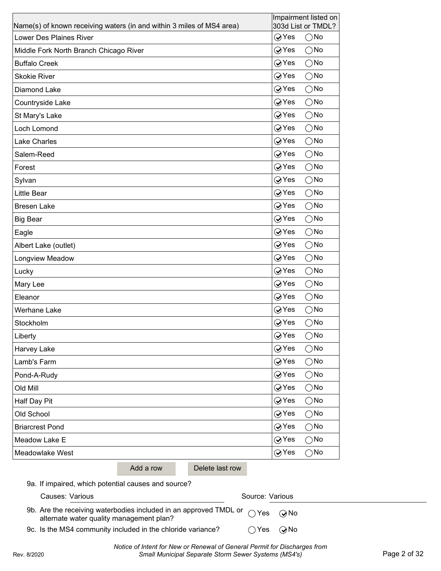| Name(s) of known receiving waters (in and within 3 miles of MS4 area) | Impairment listed on<br>303d List or TMDL? |
|-----------------------------------------------------------------------|--------------------------------------------|
| <b>Lower Des Plaines River</b>                                        | $\bigcirc$ Yes<br>$\bigcirc$ No            |
| Middle Fork North Branch Chicago River                                | $\bigcirc$ Yes<br>$\bigcirc$ No            |
| <b>Buffalo Creek</b>                                                  | $\oslash$ Yes<br>$\bigcirc$ No             |
| <b>Skokie River</b>                                                   | $\oslash$ Yes<br>$\bigcirc$ No             |
| Diamond Lake                                                          | $\oslash$ Yes<br>$\bigcirc$ No             |
| Countryside Lake                                                      | $\oslash$ Yes<br>$\bigcirc$ No             |
| St Mary's Lake                                                        | $\oslash$ Yes<br>$\bigcirc$ No             |
| Loch Lomond                                                           | $\oslash$ Yes<br>$\bigcirc$ No             |
| <b>Lake Charles</b>                                                   | $\oslash$ Yes<br>$\bigcirc$ No             |
| Salem-Reed                                                            | $\oslash$ Yes<br>$\bigcirc$ No             |
| Forest                                                                | <b>⊘Yes</b><br>$\bigcirc$ No               |
| Sylvan                                                                | $\oslash$ Yes<br>$\bigcirc$ No             |
| Little Bear                                                           | $\oslash$ Yes<br>$\bigcirc$ No             |
| <b>Bresen Lake</b>                                                    | $\oslash$ Yes<br>$\bigcirc$ No             |
| <b>Big Bear</b>                                                       | <b>⊘Yes</b><br>$\bigcirc$ No               |
| Eagle                                                                 | $\oslash$ Yes<br>$\bigcirc$ No             |
| Albert Lake (outlet)                                                  | <b>⊘Yes</b><br>$\bigcirc$ No               |
| Longview Meadow                                                       | $\oslash$ Yes<br>$\bigcirc$ No             |
| Lucky                                                                 | <b>⊘Yes</b><br>$\bigcirc$ No               |
| Mary Lee                                                              | $\oslash$ Yes<br>$\bigcirc$ No             |
| Eleanor                                                               | <b>⊘Yes</b><br>$\bigcirc$ No               |
| <b>Werhane Lake</b>                                                   | $\oslash$ Yes<br>$\bigcirc$ No             |
| Stockholm                                                             | $\bigcirc$ Yes<br>$\bigcirc$ No            |
| Liberty                                                               | ⊘Yes<br>$\bigcirc$ No                      |
| Harvey Lake                                                           | $\bigcirc$ Yes<br>$\bigcirc$ No            |
| Lamb's Farm                                                           | $\bigcirc$ Yes<br>$\bigcirc$ No            |
| Pond-A-Rudy                                                           | $\oslash$ Yes<br>$\bigcirc$ No             |
| Old Mill                                                              | <b>⊘Yes</b><br>$\bigcirc$ No               |
| Half Day Pit                                                          | $\oslash$ Yes<br>$\bigcirc$ No             |
| Old School                                                            | $\oslash$ Yes<br>$\bigcirc$ No             |
| <b>Briarcrest Pond</b>                                                | $\oslash$ Yes<br>$\bigcirc$ No             |
| Meadow Lake E                                                         | $\oslash$ Yes<br>$\bigcirc$ No             |
| Meadowlake West                                                       | $\oslash$ Yes<br>$\bigcirc$ No             |
| Add a row                                                             | Delete last row                            |
| 9a. If impaired, which potential causes and source?                   |                                            |
| Causes: Various                                                       | Source: Various                            |

| 9b. Are the receiving waterbodies included in an approved TMDL or $\bigcirc$ Yes $\bigcirc$ No |                             |  |
|------------------------------------------------------------------------------------------------|-----------------------------|--|
| alternate water quality management plan?                                                       |                             |  |
| 9c. Is the MS4 community included in the chloride variance?                                    | $\bigcap$ Yes $\bigcirc$ No |  |

*Notice of Intent for New or Renewal of General Permit for Discharges from*  Rev. 8/2020 *Small Municipal Separate Storm Sewer Systems (MS4's)* Page 2 of 32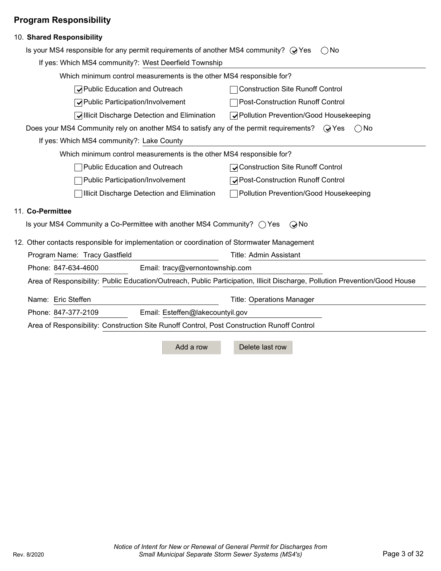## **Program Responsibility**

| 10. Shared Responsibility                                                                                                   |                                  |                                          |               |
|-----------------------------------------------------------------------------------------------------------------------------|----------------------------------|------------------------------------------|---------------|
| Is your MS4 responsible for any permit requirements of another MS4 community? $\mathbb Q$ Yes                               |                                  | ( ) No                                   |               |
| If yes: Which MS4 community?: West Deerfield Township                                                                       |                                  |                                          |               |
| Which minimum control measurements is the other MS4 responsible for?                                                        |                                  |                                          |               |
| √ Public Education and Outreach                                                                                             |                                  | <b>Construction Site Runoff Control</b>  |               |
| √Public Participation/Involvement                                                                                           |                                  | <b>Post-Construction Runoff Control</b>  |               |
| √Illicit Discharge Detection and Elimination                                                                                |                                  | ◯ Pollution Prevention/Good Housekeeping |               |
| Does your MS4 Community rely on another MS4 to satisfy any of the permit requirements? $\mathbb Q$ Yes                      |                                  |                                          | $\bigcirc$ No |
| If yes: Which MS4 community?: Lake County                                                                                   |                                  |                                          |               |
| Which minimum control measurements is the other MS4 responsible for?                                                        |                                  |                                          |               |
| Public Education and Outreach                                                                                               |                                  | ◯ Construction Site Runoff Control       |               |
| Public Participation/Involvement                                                                                            |                                  | <b>√Post-Construction Runoff Control</b> |               |
| Illicit Discharge Detection and Elimination                                                                                 |                                  | □ Pollution Prevention/Good Housekeeping |               |
| 11. Co-Permittee                                                                                                            |                                  |                                          |               |
| Is your MS4 Community a Co-Permittee with another MS4 Community? $\bigcirc$ Yes                                             |                                  | $\odot$ No                               |               |
| 12. Other contacts responsible for implementation or coordination of Stormwater Management                                  |                                  |                                          |               |
| Program Name: Tracy Gastfield                                                                                               |                                  | <b>Title: Admin Assistant</b>            |               |
| Phone: 847-634-4600                                                                                                         | Email: tracy@vernontownship.com  |                                          |               |
| Area of Responsibility: Public Education/Outreach, Public Participation, Illicit Discharge, Pollution Prevention/Good House |                                  |                                          |               |
| Name: Eric Steffen                                                                                                          |                                  | <b>Title: Operations Manager</b>         |               |
| Phone: 847-377-2109                                                                                                         | Email: Esteffen@lakecountyil.gov |                                          |               |
| Area of Responsibility: Construction Site Runoff Control, Post Construction Runoff Control                                  |                                  |                                          |               |
|                                                                                                                             | Add a row                        | Delete last row                          |               |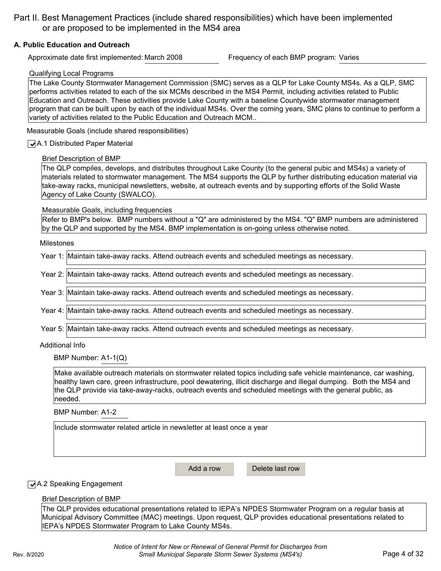Part II. Best Management Practices (include shared responsibilities) which have been implemented or are proposed to be implemented in the MS4 area

#### **A. Public Education and Outreach**

Approximate date first implemented: March 2008 Frequency of each BMP program: Varies

#### Qualifying Local Programs

The Lake County Stormwater Management Commission (SMC) serves as a QLP for Lake County MS4s. As a QLP, SMC performs activities related to each of the six MCMs described in the MS4 Permit, including activities related to Public Education and Outreach. These activities provide Lake County with a baseline Countywide stormwater management program that can be built upon by each of the individual MS4s. Over the coming years, SMC plans to continue to perform a variety of activities related to the Public Education and Outreach MCM..

Measurable Goals (include shared responsibilities)

#### **√** A.1 Distributed Paper Material

#### Brief Description of BMP

The QLP compiles, develops, and distributes throughout Lake County (to the general pubic and MS4s) a variety of materials related to stormwater management. The MS4 supports the QLP by further distributing education material via take-away racks, municipal newsletters, website, at outreach events and by supporting efforts of the Solid Waste Agency of Lake County (SWALCO).

Measurable Goals, including frequencies

Refer to BMP's below. BMP numbers without a "Q" are administered by the MS4. "Q" BMP numbers are administered by the QLP and supported by the MS4. BMP implementation is on-going unless otherwise noted.

#### Milestones

| Year 1: Maintain take-away racks. Attend outreach events and scheduled meetings as necessary. |
|-----------------------------------------------------------------------------------------------|
|                                                                                               |
| Year 2: Maintain take-away racks. Attend outreach events and scheduled meetings as necessary. |
|                                                                                               |
| Year 3: Maintain take-away racks. Attend outreach events and scheduled meetings as necessary. |
|                                                                                               |
| Year 4: Maintain take-away racks. Attend outreach events and scheduled meetings as necessary. |
|                                                                                               |
| Year 5: Maintain take-away racks. Attend outreach events and scheduled meetings as necessary. |
|                                                                                               |

#### Additional Info

BMP Number: A1-1(Q)

Make available outreach materials on stormwater related topics including safe vehicle maintenance, car washing, healthy lawn care, green infrastructure, pool dewatering, illicit discharge and illegal dumping. Both the MS4 and the QLP provide via take-away-racks, outreach events and scheduled meetings with the general public, as needed.

BMP Number: A1-2

Include stormwater related article in newsletter at least once a year

Add a row Delete last row

#### **√** A.2 Speaking Engagement

#### Brief Description of BMP

The QLP provides educational presentations related to IEPA's NPDES Stormwater Program on a regular basis at Municipal Advisory Committee (MAC) meetings. Upon request, QLP provides educational presentations related to IEPA's NPDES Stormwater Program to Lake County MS4s.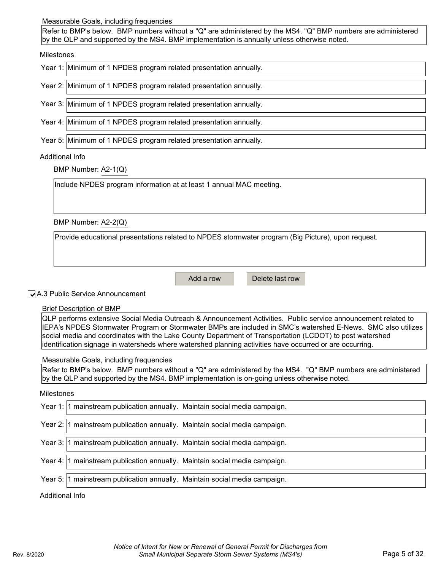#### Measurable Goals, including frequencies

Refer to BMP's below. BMP numbers without a "Q" are administered by the MS4. "Q" BMP numbers are administered by the QLP and supported by the MS4. BMP implementation is annually unless otherwise noted.

#### Milestones

|  |  |  |  | Year 1: Minimum of 1 NPDES program related presentation annually. |
|--|--|--|--|-------------------------------------------------------------------|
|--|--|--|--|-------------------------------------------------------------------|

Year 2: Minimum of 1 NPDES program related presentation annually.

Year 3: Minimum of 1 NPDES program related presentation annually.

Year 4: Minimum of 1 NPDES program related presentation annually.

Year 5: Minimum of 1 NPDES program related presentation annually.

#### Additional Info

BMP Number: A2-1(Q)

Include NPDES program information at at least 1 annual MAC meeting.

BMP Number: A2-2(Q)

Provide educational presentations related to NPDES stormwater program (Big Picture), upon request.

Add a row Delete last row

#### ✔ A.3 Public Service Announcement

#### Brief Description of BMP

QLP performs extensive Social Media Outreach & Announcement Activities. Public service announcement related to IEPA's NPDES Stormwater Program or Stormwater BMPs are included in SMC's watershed E-News. SMC also utilizes social media and coordinates with the Lake County Department of Transportation (LCDOT) to post watershed identification signage in watersheds where watershed planning activities have occurred or are occurring.

Measurable Goals, including frequencies

Refer to BMP's below. BMP numbers without a "Q" are administered by the MS4. "Q" BMP numbers are administered by the QLP and supported by the MS4. BMP implementation is on-going unless otherwise noted.

#### Milestones

| Year 1: 1 mainstream publication annually. Maintain social media campaign.  |
|-----------------------------------------------------------------------------|
| Year 2: 1 mainstream publication annually. Maintain social media campaign.  |
| Year 3: 1 mainstream publication annually. Maintain social media campaign.  |
| Year 4:  1 mainstream publication annually. Maintain social media campaign. |
| Year 5:  1 mainstream publication annually. Maintain social media campaign. |
| Additional Info                                                             |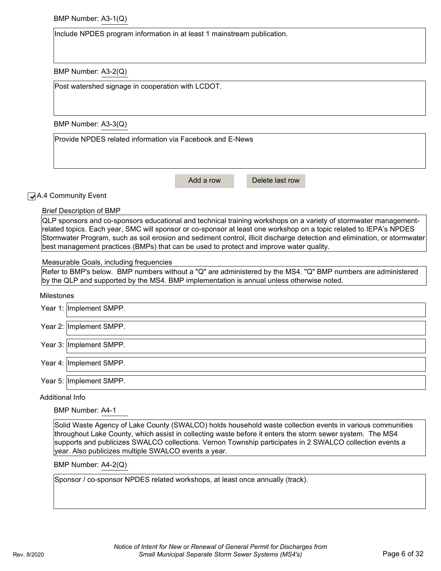BMP Number: A3-1(Q)

Include NPDES program information in at least 1 mainstream publication.

BMP Number: A3-2(Q)

Post watershed signage in cooperation with LCDOT.

BMP Number: A3-3(Q)

Provide NPDES related information via Facebook and E-News

Add a row Delete last row

**√** A.4 Community Event

Brief Description of BMP

QLP sponsors and co-sponsors educational and technical training workshops on a variety of stormwater managementrelated topics. Each year, SMC will sponsor or co-sponsor at least one workshop on a topic related to IEPA's NPDES Stormwater Program, such as soil erosion and sediment control, illicit discharge detection and elimination, or stormwater best management practices (BMPs) that can be used to protect and improve water quality.

Measurable Goals, including frequencies

Refer to BMP's below. BMP numbers without a "Q" are administered by the MS4. "Q" BMP numbers are administered by the QLP and supported by the MS4. BMP implementation is annual unless otherwise noted.

#### **Milestones**

| Year 1: Implement SMPP. |
|-------------------------|
| Year 2: Implement SMPP. |
| Year 3: Implement SMPP. |
| Year 4: Implement SMPP. |
| Year 5: Implement SMPP. |

Additional Info

BMP Number: A4-1

Solid Waste Agency of Lake County (SWALCO) holds household waste collection events in various communities throughout Lake County, which assist in collecting waste before it enters the storm sewer system. The MS4 supports and publicizes SWALCO collections. Vernon Township participates in 2 SWALCO collection events a year. Also publicizes multiple SWALCO events a year.

BMP Number: A4-2(Q)

Sponsor / co-sponsor NPDES related workshops, at least once annually (track).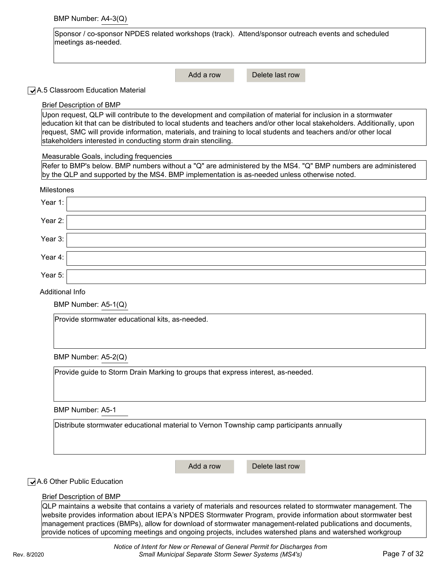|  | BMP Number: A4-3(Q) |  |
|--|---------------------|--|
|--|---------------------|--|

| Sponsor / co-sponsor NPDES related workshops (track). Attend/sponsor outreach events and scheduled |  |
|----------------------------------------------------------------------------------------------------|--|
| meetings as-needed.                                                                                |  |

Add a row Delete last row

#### **√** A.5 Classroom Education Material

| <b>Brief Description of BMP</b>                                                                                                                                                                                                              |  |  |  |  |
|----------------------------------------------------------------------------------------------------------------------------------------------------------------------------------------------------------------------------------------------|--|--|--|--|
| Upon request, QLP will contribute to the development and compilation of material for inclusion in a stormwater                                                                                                                               |  |  |  |  |
| education kit that can be distributed to local students and teachers and/or other local stakeholders. Additionally, upon<br>request, SMC will provide information, materials, and training to local students and teachers and/or other local |  |  |  |  |
| stakeholders interested in conducting storm drain stenciling.                                                                                                                                                                                |  |  |  |  |
|                                                                                                                                                                                                                                              |  |  |  |  |
| Measurable Goals, including frequencies<br>Refer to BMP's below. BMP numbers without a "Q" are administered by the MS4. "Q" BMP numbers are administered                                                                                     |  |  |  |  |
| by the QLP and supported by the MS4. BMP implementation is as-needed unless otherwise noted.                                                                                                                                                 |  |  |  |  |
|                                                                                                                                                                                                                                              |  |  |  |  |
| <b>Milestones</b>                                                                                                                                                                                                                            |  |  |  |  |
| Year 1:                                                                                                                                                                                                                                      |  |  |  |  |
| Year 2:                                                                                                                                                                                                                                      |  |  |  |  |
|                                                                                                                                                                                                                                              |  |  |  |  |
| Year 3:                                                                                                                                                                                                                                      |  |  |  |  |
|                                                                                                                                                                                                                                              |  |  |  |  |
| Year 4:                                                                                                                                                                                                                                      |  |  |  |  |
| Year 5:                                                                                                                                                                                                                                      |  |  |  |  |
| <b>Additional Info</b>                                                                                                                                                                                                                       |  |  |  |  |
| BMP Number: A5-1(Q)                                                                                                                                                                                                                          |  |  |  |  |
| Provide stormwater educational kits, as-needed.                                                                                                                                                                                              |  |  |  |  |
|                                                                                                                                                                                                                                              |  |  |  |  |
| BMP Number: A5-2(Q)                                                                                                                                                                                                                          |  |  |  |  |
| Provide guide to Storm Drain Marking to groups that express interest, as-needed.                                                                                                                                                             |  |  |  |  |
|                                                                                                                                                                                                                                              |  |  |  |  |
|                                                                                                                                                                                                                                              |  |  |  |  |

BMP Number: A5-1

| Distribute stormwater educational material to Vernon Township camp participants annually |  |  |  |  |
|------------------------------------------------------------------------------------------|--|--|--|--|
|------------------------------------------------------------------------------------------|--|--|--|--|

Add a row Delete last row

#### ✓ A.6 Other Public Education

#### Brief Description of BMP

QLP maintains a website that contains a variety of materials and resources related to stormwater management. The website provides information about IEPA's NPDES Stormwater Program, provide information about stormwater best management practices (BMPs), allow for download of stormwater management-related publications and documents, provide notices of upcoming meetings and ongoing projects, includes watershed plans and watershed workgroup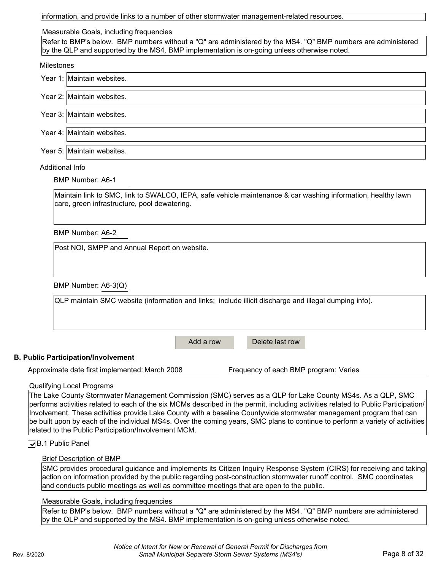|  |  |  | information, and provide links to a number of other stormwater management-related resources. |
|--|--|--|----------------------------------------------------------------------------------------------|
|  |  |  |                                                                                              |

#### Measurable Goals, including frequencies

Refer to BMP's below. BMP numbers without a "Q" are administered by the MS4. "Q" BMP numbers are administered by the QLP and supported by the MS4. BMP implementation is on-going unless otherwise noted.

|                 | Year 1: Maintain websites. |
|-----------------|----------------------------|
|                 | Year 2: Maintain websites. |
|                 | Year 3: Maintain websites. |
|                 | Year 4: Maintain websites. |
|                 | Year 5: Maintain websites. |
| Additional Info |                            |

## BMP Number: A6-1

Maintain link to SMC, link to SWALCO, IEPA, safe vehicle maintenance & car washing information, healthy lawn care, green infrastructure, pool dewatering.

BMP Number: A6-2

Post NOI, SMPP and Annual Report on website.

BMP Number: A6-3(Q)

|           | QLP maintain SMC website (information and links; include illicit discharge and illegal dumping info). |  |
|-----------|-------------------------------------------------------------------------------------------------------|--|
| Add a row | Delete last row                                                                                       |  |

#### **B. Public Participation/Involvement**

Approximate date first implemented: March 2008 Frequency of each BMP program: Varies

#### Qualifying Local Programs

The Lake County Stormwater Management Commission (SMC) serves as a QLP for Lake County MS4s. As a QLP, SMC performs activities related to each of the six MCMs described in the permit, including activities related to Public Participation/ Involvement. These activities provide Lake County with a baseline Countywide stormwater management program that can be built upon by each of the individual MS4s. Over the coming years, SMC plans to continue to perform a variety of activities related to the Public Participation/Involvement MCM.

#### **J**B.1 Public Panel

#### Brief Description of BMP

SMC provides procedural guidance and implements its Citizen Inquiry Response System (CIRS) for receiving and taking action on information provided by the public regarding post-construction stormwater runoff control. SMC coordinates and conducts public meetings as well as committee meetings that are open to the public.

#### Measurable Goals, including frequencies

Refer to BMP's below. BMP numbers without a "Q" are administered by the MS4. "Q" BMP numbers are administered by the QLP and supported by the MS4. BMP implementation is on-going unless otherwise noted.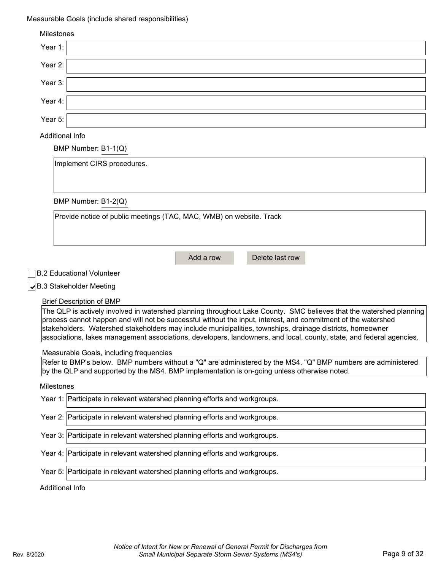## Measurable Goals (include shared responsibilities)

| <b>Milestones</b>                                                                                                                                                                                                                                                                                                                                                                                                                                                         |
|---------------------------------------------------------------------------------------------------------------------------------------------------------------------------------------------------------------------------------------------------------------------------------------------------------------------------------------------------------------------------------------------------------------------------------------------------------------------------|
| Year 1:                                                                                                                                                                                                                                                                                                                                                                                                                                                                   |
| Year 2:                                                                                                                                                                                                                                                                                                                                                                                                                                                                   |
| Year 3:                                                                                                                                                                                                                                                                                                                                                                                                                                                                   |
| Year 4:                                                                                                                                                                                                                                                                                                                                                                                                                                                                   |
| Year 5:                                                                                                                                                                                                                                                                                                                                                                                                                                                                   |
| Additional Info                                                                                                                                                                                                                                                                                                                                                                                                                                                           |
| BMP Number: B1-1(Q)                                                                                                                                                                                                                                                                                                                                                                                                                                                       |
| Implement CIRS procedures.                                                                                                                                                                                                                                                                                                                                                                                                                                                |
|                                                                                                                                                                                                                                                                                                                                                                                                                                                                           |
| BMP Number: B1-2(Q)                                                                                                                                                                                                                                                                                                                                                                                                                                                       |
| Provide notice of public meetings (TAC, MAC, WMB) on website. Track                                                                                                                                                                                                                                                                                                                                                                                                       |
|                                                                                                                                                                                                                                                                                                                                                                                                                                                                           |
|                                                                                                                                                                                                                                                                                                                                                                                                                                                                           |
| Add a row<br>Delete last row                                                                                                                                                                                                                                                                                                                                                                                                                                              |
| <b>B.2 Educational Volunteer</b>                                                                                                                                                                                                                                                                                                                                                                                                                                          |
| ◯B.3 Stakeholder Meeting                                                                                                                                                                                                                                                                                                                                                                                                                                                  |
| <b>Brief Description of BMP</b>                                                                                                                                                                                                                                                                                                                                                                                                                                           |
| The QLP is actively involved in watershed planning throughout Lake County. SMC believes that the watershed planning<br>process cannot happen and will not be successful without the input, interest, and commitment of the watershed<br>stakeholders. Watershed stakeholders may include municipalities, townships, drainage districts, homeowner<br>associations, lakes management associations, developers, landowners, and local, county, state, and federal agencies. |
|                                                                                                                                                                                                                                                                                                                                                                                                                                                                           |
| Measurable Goals, including frequencies<br>Refer to BMP's below. BMP numbers without a "Q" are administered by the MS4. "Q" BMP numbers are administered<br>by the QLP and supported by the MS4. BMP implementation is on-going unless otherwise noted.                                                                                                                                                                                                                   |
| Milestones                                                                                                                                                                                                                                                                                                                                                                                                                                                                |
| Year 1: Participate in relevant watershed planning efforts and workgroups.                                                                                                                                                                                                                                                                                                                                                                                                |
| Year 2: Participate in relevant watershed planning efforts and workgroups.                                                                                                                                                                                                                                                                                                                                                                                                |
| Year 3: Participate in relevant watershed planning efforts and workgroups.                                                                                                                                                                                                                                                                                                                                                                                                |
| Year 4: Participate in relevant watershed planning efforts and workgroups.                                                                                                                                                                                                                                                                                                                                                                                                |
| Year 5: Participate in relevant watershed planning efforts and workgroups.                                                                                                                                                                                                                                                                                                                                                                                                |
| Additional Info                                                                                                                                                                                                                                                                                                                                                                                                                                                           |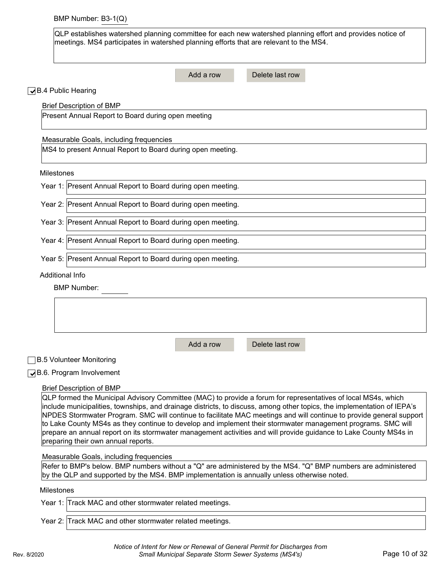QLP establishes watershed planning committee for each new watershed planning effort and provides notice of meetings. MS4 participates in watershed planning efforts that are relevant to the MS4.

|                                                                                                                   |                                                                                             | Add a row | Delete last row                                                                                                                                                                                                                          |  |
|-------------------------------------------------------------------------------------------------------------------|---------------------------------------------------------------------------------------------|-----------|------------------------------------------------------------------------------------------------------------------------------------------------------------------------------------------------------------------------------------------|--|
| ◯B.4 Public Hearing                                                                                               |                                                                                             |           |                                                                                                                                                                                                                                          |  |
|                                                                                                                   | <b>Brief Description of BMP</b>                                                             |           |                                                                                                                                                                                                                                          |  |
|                                                                                                                   | Present Annual Report to Board during open meeting                                          |           |                                                                                                                                                                                                                                          |  |
|                                                                                                                   | Measurable Goals, including frequencies                                                     |           |                                                                                                                                                                                                                                          |  |
|                                                                                                                   | MS4 to present Annual Report to Board during open meeting.                                  |           |                                                                                                                                                                                                                                          |  |
| Milestones                                                                                                        |                                                                                             |           |                                                                                                                                                                                                                                          |  |
|                                                                                                                   | Year 1: Present Annual Report to Board during open meeting.                                 |           |                                                                                                                                                                                                                                          |  |
|                                                                                                                   | Year 2: Present Annual Report to Board during open meeting.                                 |           |                                                                                                                                                                                                                                          |  |
|                                                                                                                   | Year 3: Present Annual Report to Board during open meeting.                                 |           |                                                                                                                                                                                                                                          |  |
|                                                                                                                   | Year 4: Present Annual Report to Board during open meeting.                                 |           |                                                                                                                                                                                                                                          |  |
|                                                                                                                   | Year 5: Present Annual Report to Board during open meeting.                                 |           |                                                                                                                                                                                                                                          |  |
| Additional Info                                                                                                   |                                                                                             |           |                                                                                                                                                                                                                                          |  |
|                                                                                                                   | <b>BMP Number:</b>                                                                          |           |                                                                                                                                                                                                                                          |  |
|                                                                                                                   |                                                                                             |           |                                                                                                                                                                                                                                          |  |
|                                                                                                                   |                                                                                             |           |                                                                                                                                                                                                                                          |  |
|                                                                                                                   |                                                                                             |           |                                                                                                                                                                                                                                          |  |
|                                                                                                                   |                                                                                             | Add a row | Delete last row                                                                                                                                                                                                                          |  |
|                                                                                                                   |                                                                                             |           |                                                                                                                                                                                                                                          |  |
|                                                                                                                   | <b>B.5 Volunteer Monitoring</b>                                                             |           |                                                                                                                                                                                                                                          |  |
|                                                                                                                   | $\sqrt{B.6}$ . Program Involvement                                                          |           |                                                                                                                                                                                                                                          |  |
|                                                                                                                   | <b>Brief Description of BMP</b>                                                             |           |                                                                                                                                                                                                                                          |  |
|                                                                                                                   |                                                                                             |           | QLP formed the Municipal Advisory Committee (MAC) to provide a forum for representatives of local MS4s, which<br>include municipalities, townships, and drainage districts, to discuss, among other topics, the implementation of IEPA's |  |
|                                                                                                                   |                                                                                             |           | NPDES Stormwater Program. SMC will continue to facilitate MAC meetings and will continue to provide general support                                                                                                                      |  |
|                                                                                                                   |                                                                                             |           | to Lake County MS4s as they continue to develop and implement their stormwater management programs. SMC will                                                                                                                             |  |
| prepare an annual report on its stormwater management activities and will provide guidance to Lake County MS4s in |                                                                                             |           |                                                                                                                                                                                                                                          |  |
|                                                                                                                   | preparing their own annual reports.                                                         |           |                                                                                                                                                                                                                                          |  |
|                                                                                                                   | Measurable Goals, including frequencies                                                     |           |                                                                                                                                                                                                                                          |  |
|                                                                                                                   | by the QLP and supported by the MS4. BMP implementation is annually unless otherwise noted. |           | Refer to BMP's below. BMP numbers without a "Q" are administered by the MS4. "Q" BMP numbers are administered                                                                                                                            |  |
| <b>Milestones</b>                                                                                                 |                                                                                             |           |                                                                                                                                                                                                                                          |  |
|                                                                                                                   | Year 1: Track MAC and other stormwater related meetings.                                    |           |                                                                                                                                                                                                                                          |  |
|                                                                                                                   | Year 2: Track MAC and other stormwater related meetings.                                    |           |                                                                                                                                                                                                                                          |  |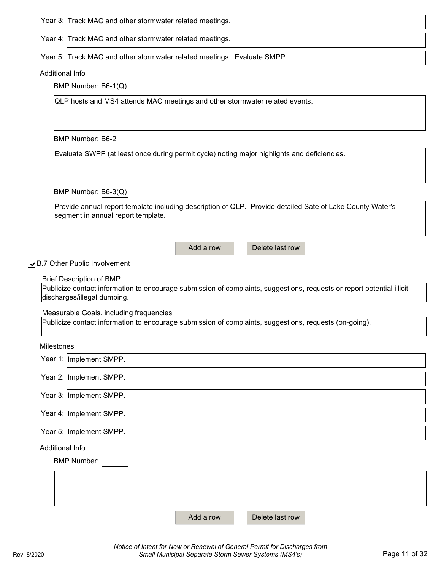Year 3: Track MAC and other stormwater related meetings.

Year 4: Track MAC and other stormwater related meetings.

Year 5: Track MAC and other stormwater related meetings. Evaluate SMPP.

#### Additional Info

BMP Number: B6-1(Q)

QLP hosts and MS4 attends MAC meetings and other stormwater related events.

BMP Number: B6-2

Evaluate SWPP (at least once during permit cycle) noting major highlights and deficiencies.

BMP Number: B6-3(Q)

Provide annual report template including description of QLP. Provide detailed Sate of Lake County Water's segment in annual report template.

Add a row Delete last row

✔B.7 Other Public Involvement

#### Brief Description of BMP

Publicize contact information to encourage submission of complaints, suggestions, requests or report potential illicit discharges/illegal dumping.

Measurable Goals, including frequencies

Publicize contact information to encourage submission of complaints, suggestions, requests (on-going).

Milestones

| Year 1:   Implement SMPP. |
|---------------------------|
| Year 2: Implement SMPP.   |
| Year 3: Implement SMPP.   |
| Year 4: Implement SMPP.   |
| Year 5: Implement SMPP.   |
| <b>Additional Info</b>    |
| <b>BMP Number:</b>        |
|                           |

Add a row Delete last row

*Notice of Intent for New or Renewal of General Permit for Discharges from*  Rev. 8/2020 *Small Municipal Separate Storm Sewer Systems (MS4's)* Page 11 of 32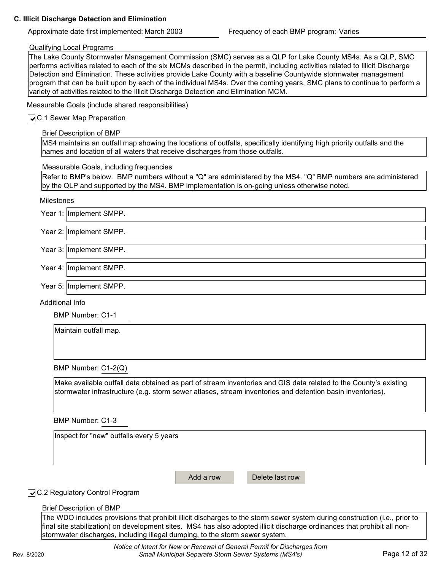#### **C. Illicit Discharge Detection and Elimination**

Approximate date first implemented: March 2003 Frequency of each BMP program: Varies

#### Qualifying Local Programs

The Lake County Stormwater Management Commission (SMC) serves as a QLP for Lake County MS4s. As a QLP, SMC performs activities related to each of the six MCMs described in the permit, including activities related to Illicit Discharge Detection and Elimination. These activities provide Lake County with a baseline Countywide stormwater management program that can be built upon by each of the individual MS4s. Over the coming years, SMC plans to continue to perform a variety of activities related to the Illicit Discharge Detection and Elimination MCM.

Measurable Goals (include shared responsibilities)

### **✓ C.1 Sewer Map Preparation**

Brief Description of BMP

MS4 maintains an outfall map showing the locations of outfalls, specifically identifying high priority outfalls and the names and location of all waters that receive discharges from those outfalls.

Measurable Goals, including frequencies

Refer to BMP's below. BMP numbers without a "Q" are administered by the MS4. "Q" BMP numbers are administered by the QLP and supported by the MS4. BMP implementation is on-going unless otherwise noted.

#### Milestones

| Year 1: Implement SMPP. |
|-------------------------|
| Year 2: Implement SMPP. |
| Year 3: Implement SMPP. |
| Year 4: Implement SMPP. |
| Year 5: Implement SMPP. |

Additional Info

BMP Number: C1-1

Maintain outfall map.

BMP Number: C1-2(Q)

Make available outfall data obtained as part of stream inventories and GIS data related to the County's existing stormwater infrastructure (e.g. storm sewer atlases, stream inventories and detention basin inventories).

BMP Number: C1-3

Inspect for "new" outfalls every 5 years

Add a row Delete last row

## **√** C.2 Regulatory Control Program

Brief Description of BMP

The WDO includes provisions that prohibit illicit discharges to the storm sewer system during construction (i.e., prior to final site stabilization) on development sites. MS4 has also adopted illicit discharge ordinances that prohibit all nonstormwater discharges, including illegal dumping, to the storm sewer system.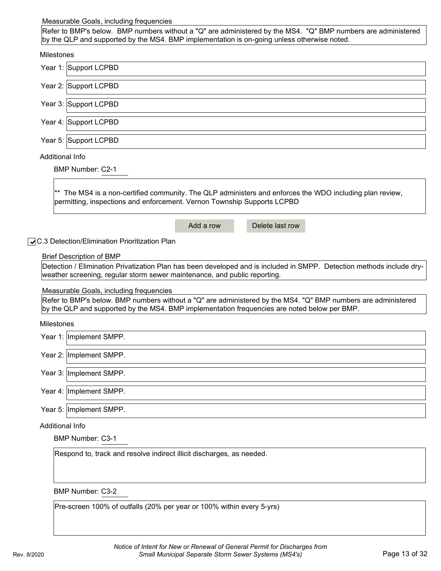#### Measurable Goals, including frequencies

Refer to BMP's below. BMP numbers without a "Q" are administered by the MS4. "Q" BMP numbers are administered by the QLP and supported by the MS4. BMP implementation is on-going unless otherwise noted.

| Milestones             |                                                                                                                                                                                                                                                                                          |
|------------------------|------------------------------------------------------------------------------------------------------------------------------------------------------------------------------------------------------------------------------------------------------------------------------------------|
|                        | Year 1: Support LCPBD                                                                                                                                                                                                                                                                    |
|                        | Year 2: Support LCPBD                                                                                                                                                                                                                                                                    |
|                        | Year 3: Support LCPBD                                                                                                                                                                                                                                                                    |
|                        | Year 4: Support LCPBD                                                                                                                                                                                                                                                                    |
|                        | Year 5: Support LCPBD                                                                                                                                                                                                                                                                    |
| <b>Additional Info</b> | <b>BMP Number: C2-1</b>                                                                                                                                                                                                                                                                  |
|                        | ** The MS4 is a non-certified community. The QLP administers and enforces the WDO including plan review,<br>permitting, inspections and enforcement. Vernon Township Supports LCPBD                                                                                                      |
|                        | Add a row<br>Delete last row                                                                                                                                                                                                                                                             |
|                        | ◯ C.3 Detection/Elimination Prioritization Plan<br><b>Brief Description of BMP</b><br>Detection / Elimination Privatization Plan has been developed and is included in SMPP. Detection methods include dry-<br>weather screening, regular storm sewer maintenance, and public reporting. |
|                        | Measurable Goals, including frequencies                                                                                                                                                                                                                                                  |
|                        | Refer to BMP's below. BMP numbers without a "Q" are administered by the MS4. "Q" BMP numbers are administered<br>by the QLP and supported by the MS4. BMP implementation frequencies are noted below per BMP.                                                                            |
| <b>Milestones</b>      |                                                                                                                                                                                                                                                                                          |
|                        | Year 1: Implement SMPP.                                                                                                                                                                                                                                                                  |
|                        | Year 2: Implement SMPP.                                                                                                                                                                                                                                                                  |
|                        | Year 3: Implement SMPP.                                                                                                                                                                                                                                                                  |
|                        | Year 4: Implement SMPP.                                                                                                                                                                                                                                                                  |
|                        | Year 5: Implement SMPP.                                                                                                                                                                                                                                                                  |
| Additional Info        |                                                                                                                                                                                                                                                                                          |
|                        | <b>BMP Number: C3-1</b>                                                                                                                                                                                                                                                                  |
|                        | Respond to, track and resolve indirect illicit discharges, as needed.                                                                                                                                                                                                                    |
|                        | <b>BMP Number: C3-2</b>                                                                                                                                                                                                                                                                  |

Pre-screen 100% of outfalls (20% per year or 100% within every 5-yrs)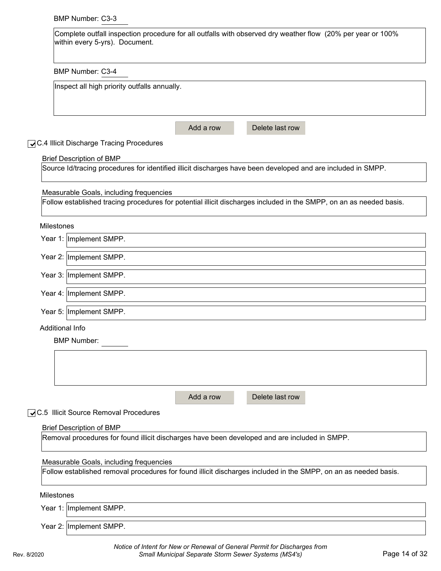## BMP Number: C3-3

| Complete outfall inspection procedure for all outfalls with observed dry weather flow (20% per year or 100%<br>within every 5-yrs). Document. |
|-----------------------------------------------------------------------------------------------------------------------------------------------|
| <b>BMP Number: C3-4</b>                                                                                                                       |
| Inspect all high priority outfalls annually.                                                                                                  |
| Delete last row<br>Add a row                                                                                                                  |
| <b>QC.4 Illicit Discharge Tracing Procedures</b>                                                                                              |
| <b>Brief Description of BMP</b>                                                                                                               |
| Source Id/tracing procedures for identified illicit discharges have been developed and are included in SMPP.                                  |
| Measurable Goals, including frequencies                                                                                                       |
| Follow established tracing procedures for potential illicit discharges included in the SMPP, on an as needed basis.                           |
| Milestones                                                                                                                                    |
| Year 1: Implement SMPP.                                                                                                                       |
| Year 2: Implement SMPP.                                                                                                                       |
| Year 3: Implement SMPP.                                                                                                                       |
| Year 4: Implement SMPP.                                                                                                                       |
| Year 5: Implement SMPP.                                                                                                                       |
| <b>Additional Info</b>                                                                                                                        |
| <b>BMP Number:</b>                                                                                                                            |
|                                                                                                                                               |
|                                                                                                                                               |
| Delete last row<br>Add a row                                                                                                                  |
| ◯C.5 Illicit Source Removal Procedures                                                                                                        |
| <b>Brief Description of BMP</b>                                                                                                               |
| Removal procedures for found illicit discharges have been developed and are included in SMPP.                                                 |
|                                                                                                                                               |
| Measurable Goals, including frequencies                                                                                                       |
| Follow established removal procedures for found illicit discharges included in the SMPP, on an as needed basis.                               |
| <b>Milestones</b>                                                                                                                             |
| Year 1: Implement SMPP.                                                                                                                       |
| Year 2: Implement SMPP.                                                                                                                       |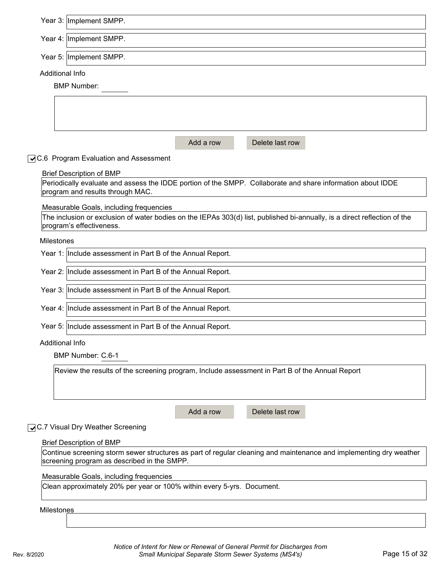|                   | Year 3: Implement SMPP.                                                                                                                               |
|-------------------|-------------------------------------------------------------------------------------------------------------------------------------------------------|
|                   | Year 4: Implement SMPP.                                                                                                                               |
|                   |                                                                                                                                                       |
|                   | Year 5: Implement SMPP.                                                                                                                               |
| Additional Info   |                                                                                                                                                       |
|                   | <b>BMP Number:</b>                                                                                                                                    |
|                   |                                                                                                                                                       |
|                   |                                                                                                                                                       |
|                   |                                                                                                                                                       |
|                   | Delete last row<br>Add a row                                                                                                                          |
|                   | ○C.6 Program Evaluation and Assessment                                                                                                                |
|                   | <b>Brief Description of BMP</b>                                                                                                                       |
|                   | Periodically evaluate and assess the IDDE portion of the SMPP. Collaborate and share information about IDDE                                           |
|                   | program and results through MAC.                                                                                                                      |
|                   | Measurable Goals, including frequencies                                                                                                               |
|                   | The inclusion or exclusion of water bodies on the IEPAs 303(d) list, published bi-annually, is a direct reflection of the<br>program's effectiveness. |
| <b>Milestones</b> |                                                                                                                                                       |
|                   | Year 1: Include assessment in Part B of the Annual Report.                                                                                            |
|                   | Year 2: Include assessment in Part B of the Annual Report.                                                                                            |
|                   | Year 3: Include assessment in Part B of the Annual Report.                                                                                            |
|                   | Year 4: Include assessment in Part B of the Annual Report.                                                                                            |
|                   | Year 5: Include assessment in Part B of the Annual Report.                                                                                            |
| Additional Info   |                                                                                                                                                       |
|                   | BMP Number: C.6-1                                                                                                                                     |
|                   | Review the results of the screening program, Include assessment in Part B of the Annual Report                                                        |
|                   |                                                                                                                                                       |
|                   |                                                                                                                                                       |
|                   | Add a row<br>Delete last row                                                                                                                          |
|                   | ◯C.7 Visual Dry Weather Screening                                                                                                                     |
|                   | <b>Brief Description of BMP</b>                                                                                                                       |
|                   | Continue screening storm sewer structures as part of regular cleaning and maintenance and implementing dry weather                                    |
|                   | screening program as described in the SMPP.                                                                                                           |
|                   | Measurable Goals, including frequencies                                                                                                               |

Clean approximately 20% per year or 100% within every 5-yrs. Document.

**Milestones**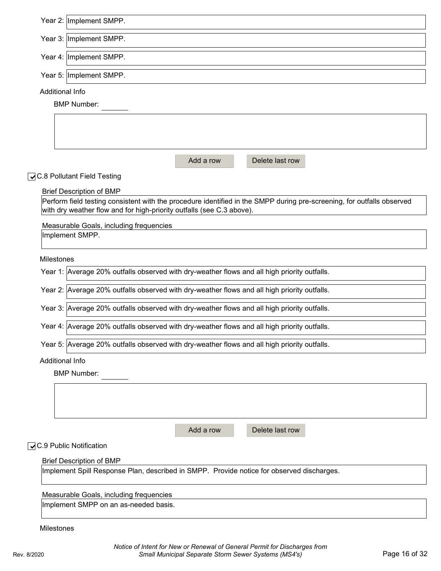|                 | Year 2: Implement SMPP.                                                                                                                                                                         |           |                 |  |
|-----------------|-------------------------------------------------------------------------------------------------------------------------------------------------------------------------------------------------|-----------|-----------------|--|
|                 | Year 3: Implement SMPP.                                                                                                                                                                         |           |                 |  |
|                 | Year 4: Implement SMPP.                                                                                                                                                                         |           |                 |  |
|                 | Year 5: Implement SMPP.                                                                                                                                                                         |           |                 |  |
| Additional Info |                                                                                                                                                                                                 |           |                 |  |
|                 | <b>BMP Number:</b>                                                                                                                                                                              |           |                 |  |
|                 |                                                                                                                                                                                                 |           |                 |  |
|                 |                                                                                                                                                                                                 |           |                 |  |
|                 |                                                                                                                                                                                                 | Add a row | Delete last row |  |
|                 | ◯C.8 Pollutant Field Testing                                                                                                                                                                    |           |                 |  |
|                 | <b>Brief Description of BMP</b>                                                                                                                                                                 |           |                 |  |
|                 | Perform field testing consistent with the procedure identified in the SMPP during pre-screening, for outfalls observed<br>with dry weather flow and for high-priority outfalls (see C.3 above). |           |                 |  |
|                 | Measurable Goals, including frequencies                                                                                                                                                         |           |                 |  |
|                 | Implement SMPP.                                                                                                                                                                                 |           |                 |  |
|                 |                                                                                                                                                                                                 |           |                 |  |
| Milestones      | Year 1: Average 20% outfalls observed with dry-weather flows and all high priority outfalls.                                                                                                    |           |                 |  |
|                 |                                                                                                                                                                                                 |           |                 |  |
|                 | Year 2: Average 20% outfalls observed with dry-weather flows and all high priority outfalls.                                                                                                    |           |                 |  |
|                 | Year 3: Average 20% outfalls observed with dry-weather flows and all high priority outfalls.                                                                                                    |           |                 |  |
|                 | Year 4: Average 20% outfalls observed with dry-weather flows and all high priority outfalls.                                                                                                    |           |                 |  |
|                 | Year 5: Average 20% outfalls observed with dry-weather flows and all high priority outfalls.                                                                                                    |           |                 |  |
| Additional Info |                                                                                                                                                                                                 |           |                 |  |
|                 | <b>BMP Number:</b>                                                                                                                                                                              |           |                 |  |
|                 |                                                                                                                                                                                                 |           |                 |  |
|                 |                                                                                                                                                                                                 |           |                 |  |
|                 |                                                                                                                                                                                                 |           |                 |  |
|                 |                                                                                                                                                                                                 | Add a row | Delete last row |  |
|                 | QC.9 Public Notification                                                                                                                                                                        |           |                 |  |
|                 | <b>Brief Description of BMP</b><br>Implement Spill Response Plan, described in SMPP. Provide notice for observed discharges.                                                                    |           |                 |  |
|                 |                                                                                                                                                                                                 |           |                 |  |
|                 | Measurable Goals, including frequencies                                                                                                                                                         |           |                 |  |
|                 | Implement SMPP on an as-needed basis.                                                                                                                                                           |           |                 |  |
| Milestones      |                                                                                                                                                                                                 |           |                 |  |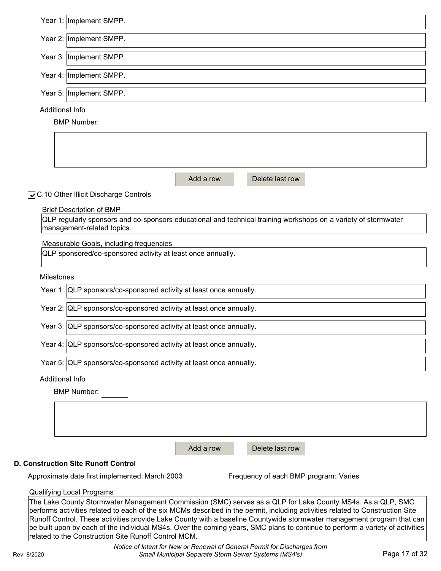|                   | Year 1: Implement SMPP.                                                                                                                                                                                                                                                                                                                                                                                                                                                                                                                                         |
|-------------------|-----------------------------------------------------------------------------------------------------------------------------------------------------------------------------------------------------------------------------------------------------------------------------------------------------------------------------------------------------------------------------------------------------------------------------------------------------------------------------------------------------------------------------------------------------------------|
|                   | Year 2: Implement SMPP.                                                                                                                                                                                                                                                                                                                                                                                                                                                                                                                                         |
|                   | Year 3: Implement SMPP.                                                                                                                                                                                                                                                                                                                                                                                                                                                                                                                                         |
|                   | Year 4: Implement SMPP.                                                                                                                                                                                                                                                                                                                                                                                                                                                                                                                                         |
|                   | Year 5: Implement SMPP.                                                                                                                                                                                                                                                                                                                                                                                                                                                                                                                                         |
| Additional Info   |                                                                                                                                                                                                                                                                                                                                                                                                                                                                                                                                                                 |
|                   | <b>BMP Number:</b>                                                                                                                                                                                                                                                                                                                                                                                                                                                                                                                                              |
|                   |                                                                                                                                                                                                                                                                                                                                                                                                                                                                                                                                                                 |
|                   |                                                                                                                                                                                                                                                                                                                                                                                                                                                                                                                                                                 |
|                   | Delete last row<br>Add a row                                                                                                                                                                                                                                                                                                                                                                                                                                                                                                                                    |
|                   | ○C.10 Other Illicit Discharge Controls                                                                                                                                                                                                                                                                                                                                                                                                                                                                                                                          |
|                   | <b>Brief Description of BMP</b>                                                                                                                                                                                                                                                                                                                                                                                                                                                                                                                                 |
|                   | QLP regularly sponsors and co-sponsors educational and technical training workshops on a variety of stormwater<br>management-related topics.                                                                                                                                                                                                                                                                                                                                                                                                                    |
|                   | Measurable Goals, including frequencies                                                                                                                                                                                                                                                                                                                                                                                                                                                                                                                         |
|                   | QLP sponsored/co-sponsored activity at least once annually.                                                                                                                                                                                                                                                                                                                                                                                                                                                                                                     |
| <b>Milestones</b> |                                                                                                                                                                                                                                                                                                                                                                                                                                                                                                                                                                 |
|                   | Year 1: QLP sponsors/co-sponsored activity at least once annually.                                                                                                                                                                                                                                                                                                                                                                                                                                                                                              |
|                   | Year 2: QLP sponsors/co-sponsored activity at least once annually.                                                                                                                                                                                                                                                                                                                                                                                                                                                                                              |
|                   | Year 3: QLP sponsors/co-sponsored activity at least once annually.                                                                                                                                                                                                                                                                                                                                                                                                                                                                                              |
|                   | Year 4: QLP sponsors/co-sponsored activity at least once annually.                                                                                                                                                                                                                                                                                                                                                                                                                                                                                              |
|                   | Year 5: QLP sponsors/co-sponsored activity at least once annually.                                                                                                                                                                                                                                                                                                                                                                                                                                                                                              |
| Additional Info   |                                                                                                                                                                                                                                                                                                                                                                                                                                                                                                                                                                 |
|                   | <b>BMP Number:</b>                                                                                                                                                                                                                                                                                                                                                                                                                                                                                                                                              |
|                   |                                                                                                                                                                                                                                                                                                                                                                                                                                                                                                                                                                 |
|                   |                                                                                                                                                                                                                                                                                                                                                                                                                                                                                                                                                                 |
|                   | Add a row<br>Delete last row                                                                                                                                                                                                                                                                                                                                                                                                                                                                                                                                    |
|                   | <b>D. Construction Site Runoff Control</b>                                                                                                                                                                                                                                                                                                                                                                                                                                                                                                                      |
|                   | Approximate date first implemented: March 2003<br>Frequency of each BMP program: Varies                                                                                                                                                                                                                                                                                                                                                                                                                                                                         |
|                   | <b>Qualifying Local Programs</b>                                                                                                                                                                                                                                                                                                                                                                                                                                                                                                                                |
|                   | The Lake County Stormwater Management Commission (SMC) serves as a QLP for Lake County MS4s. As a QLP, SMC<br>performs activities related to each of the six MCMs described in the permit, including activities related to Construction Site<br>Runoff Control. These activities provide Lake County with a baseline Countywide stormwater management program that can<br>be built upon by each of the individual MS4s. Over the coming years, SMC plans to continue to perform a variety of activities<br>related to the Construction Site Runoff Control MCM. |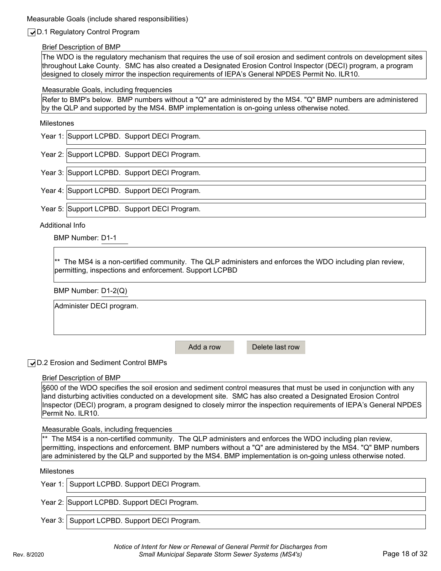#### Measurable Goals (include shared responsibilities)

## ✔D.1 Regulatory Control Program

#### Brief Description of BMP

The WDO is the regulatory mechanism that requires the use of soil erosion and sediment controls on development sites throughout Lake County. SMC has also created a Designated Erosion Control Inspector (DECI) program, a program designed to closely mirror the inspection requirements of IEPA's General NPDES Permit No. ILR10.

#### Measurable Goals, including frequencies

Refer to BMP's below. BMP numbers without a "Q" are administered by the MS4. "Q" BMP numbers are administered by the QLP and supported by the MS4. BMP implementation is on-going unless otherwise noted.

#### Milestones

Year 1: Support LCPBD. Support DECI Program.

Year 2: Support LCPBD. Support DECI Program.

Year 3: Support LCPBD. Support DECI Program.

Year 4: Support LCPBD. Support DECI Program.

Year 5: Support LCPBD. Support DECI Program.

Additional Info

BMP Number: D1-1

\*\* The MS4 is a non-certified community. The QLP administers and enforces the WDO including plan review, permitting, inspections and enforcement. Support LCPBD

BMP Number: D1-2(Q)

Administer DECI program.

Add a row Delete last row

**√** D.2 Erosion and Sediment Control BMPs

#### Brief Description of BMP

§600 of the WDO specifies the soil erosion and sediment control measures that must be used in conjunction with any land disturbing activities conducted on a development site. SMC has also created a Designated Erosion Control Inspector (DECI) program, a program designed to closely mirror the inspection requirements of IEPA's General NPDES Permit No. ILR10.

#### Measurable Goals, including frequencies

 $*$  The MS4 is a non-certified community. The QLP administers and enforces the WDO including plan review, permitting, inspections and enforcement. BMP numbers without a "Q" are administered by the MS4. "Q" BMP numbers are administered by the QLP and supported by the MS4. BMP implementation is on-going unless otherwise noted.

#### Milestones

| Year 1: Support LCPBD. Support DECI Program. |
|----------------------------------------------|
| Year 2: Support LCPBD. Support DECI Program. |
| Year 3: Support LCPBD. Support DECI Program. |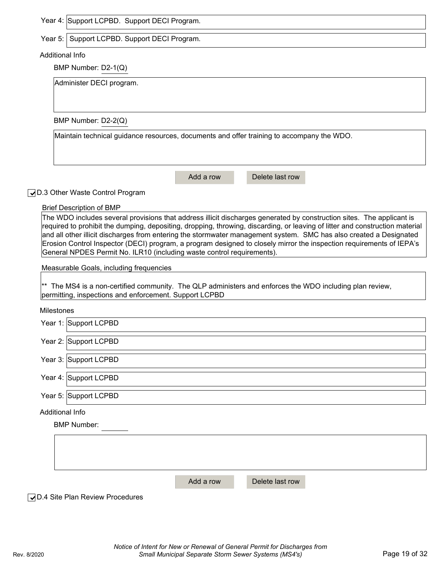Year 5: Support LCPBD. Support DECI Program.

#### Additional Info

BMP Number: D2-1(Q)

Administer DECI program.

BMP Number: D2-2(Q)

Maintain technical guidance resources, documents and offer training to accompany the WDO.

Add a row Delete last row

## D.3 Other Waste Control Program ✔

#### Brief Description of BMP

The WDO includes several provisions that address illicit discharges generated by construction sites. The applicant is required to prohibit the dumping, depositing, dropping, throwing, discarding, or leaving of litter and construction material and all other illicit discharges from entering the stormwater management system. SMC has also created a Designated Erosion Control Inspector (DECI) program, a program designed to closely mirror the inspection requirements of IEPA's General NPDES Permit No. ILR10 (including waste control requirements).

Measurable Goals, including frequencies

 $*$  The MS4 is a non-certified community. The QLP administers and enforces the WDO including plan review, permitting, inspections and enforcement. Support LCPBD

Milestones

| Year 1: Support LCPBD |
|-----------------------|
| Year 2: Support LCPBD |
| Year 3: Support LCPBD |
| Year 4: Support LCPBD |
| Year 5: Support LCPBD |

Additional Info

BMP Number:

Add a row Delete last row

**√** D.4 Site Plan Review Procedures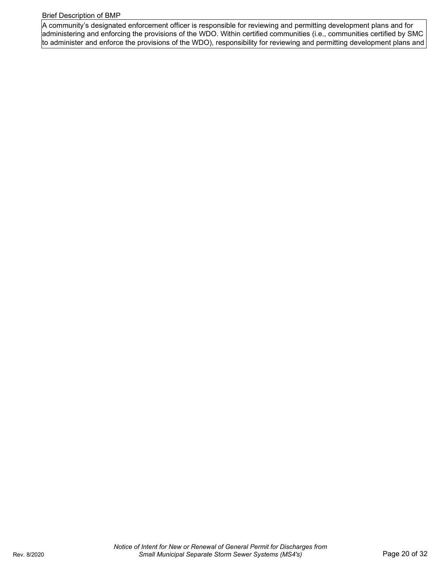#### Brief Description of BMP

A community's designated enforcement officer is responsible for reviewing and permitting development plans and for administering and enforcing the provisions of the WDO. Within certified communities (i.e., communities certified by SMC to administer and enforce the provisions of the WDO), responsibility for reviewing and permitting development plans and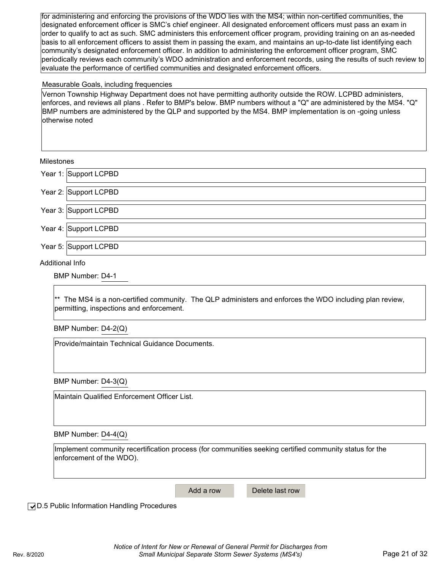for administering and enforcing the provisions of the WDO lies with the MS4; within non-certified communities, the designated enforcement officer is SMC's chief engineer. All designated enforcement officers must pass an exam in order to qualify to act as such. SMC administers this enforcement officer program, providing training on an as-needed basis to all enforcement officers to assist them in passing the exam, and maintains an up-to-date list identifying each community's designated enforcement officer. In addition to administering the enforcement officer program, SMC periodically reviews each community's WDO administration and enforcement records, using the results of such review to evaluate the performance of certified communities and designated enforcement officers.

#### Measurable Goals, including frequencies

Vernon Township Highway Department does not have permitting authority outside the ROW. LCPBD administers, enforces, and reviews all plans . Refer to BMP's below. BMP numbers without a "Q" are administered by the MS4. "Q" BMP numbers are administered by the QLP and supported by the MS4. BMP implementation is on -going unless otherwise noted

#### Milestones

Support LCPBD Year 1:

Year 2: Support LCPBD

Year 3: Support LCPBD

Year 4: Support LCPBD

Year 5: Support LCPBD

Additional Info

BMP Number: D4-1

\*\* The MS4 is a non-certified community. The QLP administers and enforces the WDO including plan review, permitting, inspections and enforcement.

BMP Number: D4-2(Q)

Provide/maintain Technical Guidance Documents.

BMP Number: D4-3(Q)

Maintain Qualified Enforcement Officer List.

BMP Number: D4-4(Q)

Implement community recertification process (for communities seeking certified community status for the enforcement of the WDO).

Add a row Delete last row

**√**D.5 Public Information Handling Procedures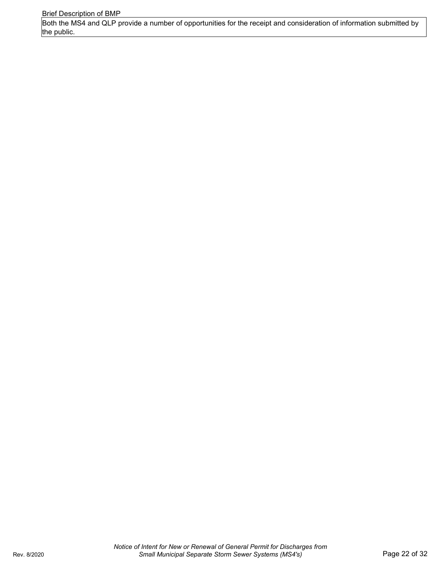Brief Description of BMP

Both the MS4 and QLP provide a number of opportunities for the receipt and consideration of information submitted by the public.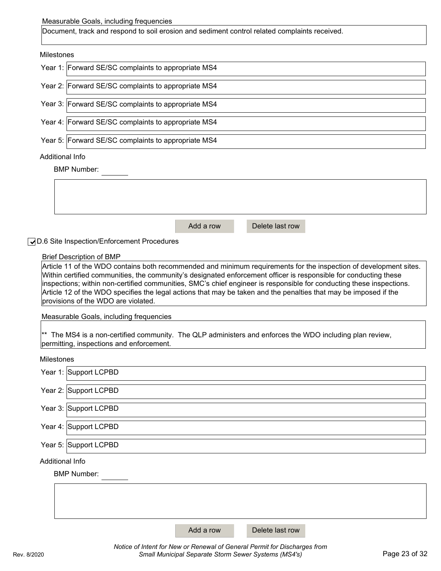#### Measurable Goals, including frequencies

Document, track and respond to soil erosion and sediment control related complaints received.

#### Milestones

| Year 1: Forward SE/SC complaints to appropriate MS4 |
|-----------------------------------------------------|
| Year 2: Forward SE/SC complaints to appropriate MS4 |
| Year 3: Forward SE/SC complaints to appropriate MS4 |
| Year 4: Forward SE/SC complaints to appropriate MS4 |
| Year 5: Forward SE/SC complaints to appropriate MS4 |
| Additional Info                                     |

BMP Number:

| Add a row | Delete last row |  |
|-----------|-----------------|--|

**J**D.6 Site Inspection/Enforcement Procedures

#### Brief Description of BMP

Article 11 of the WDO contains both recommended and minimum requirements for the inspection of development sites. Within certified communities, the community's designated enforcement officer is responsible for conducting these inspections; within non-certified communities, SMC's chief engineer is responsible for conducting these inspections. Article 12 of the WDO specifies the legal actions that may be taken and the penalties that may be imposed if the provisions of the WDO are violated.

Measurable Goals, including frequencies

 $*$  The MS4 is a non-certified community. The QLP administers and enforces the WDO including plan review, permitting, inspections and enforcement.

Milestones

| Year 1: Support LCPBD  |           |                 |  |
|------------------------|-----------|-----------------|--|
| Year 2: Support LCPBD  |           |                 |  |
| Year 3: Support LCPBD  |           |                 |  |
| Year 4: Support LCPBD  |           |                 |  |
| Year 5: Support LCPBD  |           |                 |  |
| <b>Additional Info</b> |           |                 |  |
| <b>BMP Number:</b>     |           |                 |  |
|                        |           |                 |  |
|                        |           |                 |  |
|                        | Add a row | Delete last row |  |

*Notice of Intent for New or Renewal of General Permit for Discharges from*  Rev. 8/2020 *Small Municipal Separate Storm Sewer Systems (MS4's)* Page 23 of 32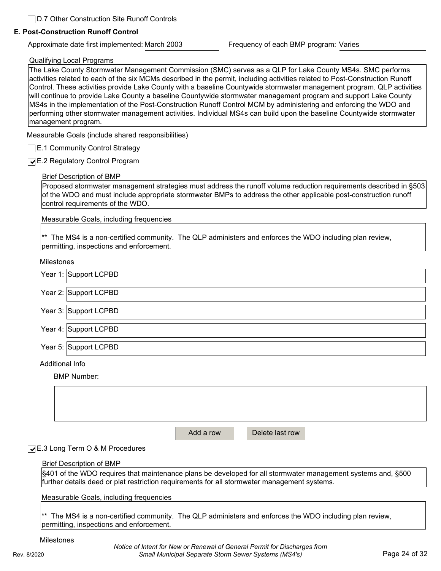#### **E. Post-Construction Runoff Control**

Approximate date first implemented: March 2003 Frequency of each BMP program: Varies

#### Qualifying Local Programs

The Lake County Stormwater Management Commission (SMC) serves as a QLP for Lake County MS4s. SMC performs activities related to each of the six MCMs described in the permit, including activities related to Post-Construction Runoff Control. These activities provide Lake County with a baseline Countywide stormwater management program. QLP activities will continue to provide Lake County a baseline Countywide stormwater management program and support Lake County MS4s in the implementation of the Post-Construction Runoff Control MCM by administering and enforcing the WDO and performing other stormwater management activities. Individual MS4s can build upon the baseline Countywide stormwater management program.

Measurable Goals (include shared responsibilities)

**E.1 Community Control Strategy** 

↓E.2 Regulatory Control Program

#### Brief Description of BMP

Proposed stormwater management strategies must address the runoff volume reduction requirements described in §503 of the WDO and must include appropriate stormwater BMPs to address the other applicable post-construction runoff control requirements of the WDO.

Measurable Goals, including frequencies

\*\* The MS4 is a non-certified community. The QLP administers and enforces the WDO including plan review, permitting, inspections and enforcement.

Milestones

| Year 1: Support LCPBD |  |
|-----------------------|--|
| Year 2: Support LCPBD |  |
| Year 3: Support LCPBD |  |
| Year 4: Support LCPBD |  |
| Year 5: Support LCPBD |  |
| Additional Info       |  |
| <b>BMP Number:</b>    |  |

Add a row Delete last row

#### **√E.3 Long Term O & M Procedures**

#### Brief Description of BMP

§401 of the WDO requires that maintenance plans be developed for all stormwater management systems and, §500 further details deed or plat restriction requirements for all stormwater management systems.

Measurable Goals, including frequencies

\*\* The MS4 is a non-certified community. The QLP administers and enforces the WDO including plan review, permitting, inspections and enforcement.

Milestones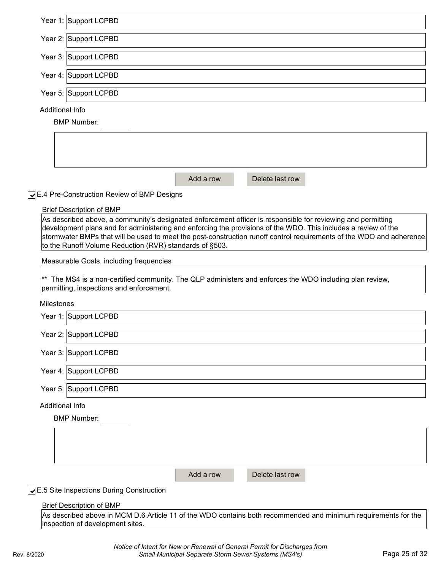|                 | Year 1: Support LCPBD                                                                                                                                                                                                          |
|-----------------|--------------------------------------------------------------------------------------------------------------------------------------------------------------------------------------------------------------------------------|
|                 | Year 2: Support LCPBD                                                                                                                                                                                                          |
|                 | Year 3: Support LCPBD                                                                                                                                                                                                          |
|                 | Year 4: Support LCPBD                                                                                                                                                                                                          |
|                 | Year 5: Support LCPBD                                                                                                                                                                                                          |
| Additional Info |                                                                                                                                                                                                                                |
|                 | <b>BMP Number:</b>                                                                                                                                                                                                             |
|                 |                                                                                                                                                                                                                                |
|                 |                                                                                                                                                                                                                                |
|                 |                                                                                                                                                                                                                                |
|                 |                                                                                                                                                                                                                                |
|                 | Delete last row<br>Add a row                                                                                                                                                                                                   |
|                 | ◯E.4 Pre-Construction Review of BMP Designs                                                                                                                                                                                    |
|                 |                                                                                                                                                                                                                                |
|                 | <b>Brief Description of BMP</b>                                                                                                                                                                                                |
|                 | As described above, a community's designated enforcement officer is responsible for reviewing and permitting<br>development plans and for administering and enforcing the provisions of the WDO. This includes a review of the |
|                 | stormwater BMPs that will be used to meet the post-construction runoff control requirements of the WDO and adherence                                                                                                           |
|                 | to the Runoff Volume Reduction (RVR) standards of §503.                                                                                                                                                                        |
|                 | Measurable Goals, including frequencies                                                                                                                                                                                        |
|                 |                                                                                                                                                                                                                                |
|                 | $*$ The MS4 is a non-certified community. The QLP administers and enforces the WDO including plan review,                                                                                                                      |
|                 | permitting, inspections and enforcement.                                                                                                                                                                                       |
| Milestones      |                                                                                                                                                                                                                                |
|                 | Year 1: Support LCPBD                                                                                                                                                                                                          |
|                 | Year 2: Support LCPBD                                                                                                                                                                                                          |
|                 |                                                                                                                                                                                                                                |
|                 | Year 3: Support LCPBD                                                                                                                                                                                                          |
|                 | Year 4: Support LCPBD                                                                                                                                                                                                          |
|                 | Year 5: Support LCPBD                                                                                                                                                                                                          |
| Additional Info |                                                                                                                                                                                                                                |
|                 | <b>BMP Number:</b>                                                                                                                                                                                                             |
|                 |                                                                                                                                                                                                                                |
|                 |                                                                                                                                                                                                                                |
|                 |                                                                                                                                                                                                                                |
|                 |                                                                                                                                                                                                                                |
|                 | Add a row<br>Delete last row                                                                                                                                                                                                   |
|                 | <b>JE.5 Site Inspections During Construction</b>                                                                                                                                                                               |
|                 | <b>Brief Description of BMP</b>                                                                                                                                                                                                |
|                 |                                                                                                                                                                                                                                |

As described above in MCM D.6 Article 11 of the WDO contains both recommended and minimum requirements for the inspection of development sites.

*Notice of Intent for New or Renewal of General Permit for Discharges from*  Rev. 8/2020 *Small Municipal Separate Storm Sewer Systems (MS4's)* Page 25 of 32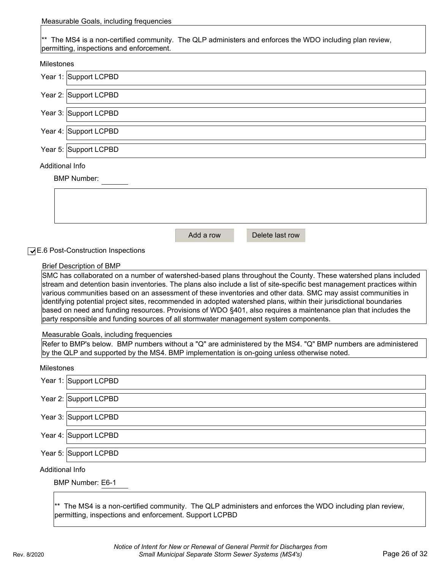Measurable Goals, including frequencies

\*\* The MS4 is a non-certified community. The QLP administers and enforces the WDO including plan review, permitting, inspections and enforcement.

#### Milestones

|                        | Year 1: Support LCPBD                                                                                                   |
|------------------------|-------------------------------------------------------------------------------------------------------------------------|
|                        | Year 2: Support LCPBD                                                                                                   |
|                        | Year 3: Support LCPBD                                                                                                   |
|                        | Year 4: Support LCPBD                                                                                                   |
|                        | Year 5: Support LCPBD                                                                                                   |
| <b>Additional Info</b> |                                                                                                                         |
|                        |                                                                                                                         |
|                        | <b>BMP Number:</b>                                                                                                      |
|                        |                                                                                                                         |
|                        |                                                                                                                         |
|                        |                                                                                                                         |
|                        |                                                                                                                         |
|                        |                                                                                                                         |
|                        | Add a row<br>Delete last row                                                                                            |
|                        | <b>JE.6 Post-Construction Inspections</b>                                                                               |
|                        | <b>Brief Description of BMP</b>                                                                                         |
|                        | SMC has collaborated on a number of watershed-based plans throughout the County. These watershed plans included         |
|                        | stream and detention basin inventories. The plans also include a list of site-specific best management practices within |
|                        |                                                                                                                         |
|                        | various communities based on an assessment of these inventories and other data. SMC may assist communities in           |
|                        | identifying potential project sites, recommended in adopted watershed plans, within their jurisdictional boundaries     |

identifying potential project sites, recommended in adopted watershed plans, within their jurisdictional boundaries based on need and funding resources. Provisions of WDO §401, also requires a maintenance plan that includes the party responsible and funding sources of all stormwater management system components.

#### Measurable Goals, including frequencies

Refer to BMP's below. BMP numbers without a "Q" are administered by the MS4. "Q" BMP numbers are administered by the QLP and supported by the MS4. BMP implementation is on-going unless otherwise noted.

#### Milestones

|                 | Year 1: Support LCPBD |  |
|-----------------|-----------------------|--|
|                 | Year 2: Support LCPBD |  |
|                 | Year 3: Support LCPBD |  |
|                 | Year 4: Support LCPBD |  |
|                 | Year 5: Support LCPBD |  |
| Additional Info |                       |  |

BMP Number: E6-1

\*\* The MS4 is a non-certified community. The QLP administers and enforces the WDO including plan review, permitting, inspections and enforcement. Support LCPBD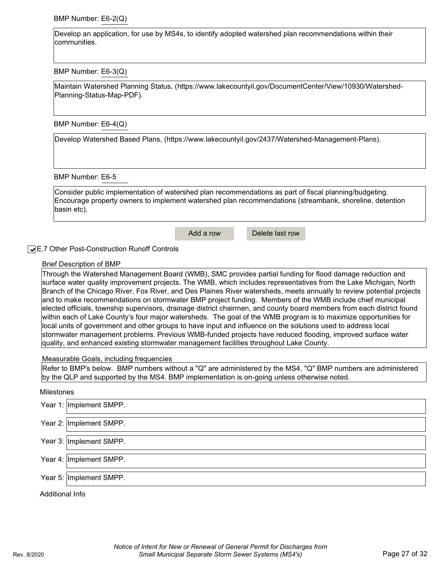BMP Number: E6-2(Q)

Develop an application, for use by MS4s, to identify adopted watershed plan recommendations within their communities.

BMP Number: E6-3(Q)

[Maintain Watershed Planning Status, \(https://www.lakecountyil.gov/DocumentCenter/View/10930/Watershed-](http://www.lakecountyil.gov/DocumentCenter/View/10930/Watershed-)Planning-Status-Map-PDF).

BMP Number: E6-4(Q)

[Develop Watershed Based Plans, \(https://www.lakecountyil.gov/2437/Watershed-Management-Plans\).](http://www.lakecountyil.gov/2437/Watershed-Management-Plans))

BMP Number: E6-5

Consider public implementation of watershed plan recommendations as part of fiscal planning/budgeting. Encourage property owners to implement watershed plan recommendations (streambank, shoreline, detention basin etc).

Add a row Delete last row

E.7 Other Post-Construction Runoff Controls ✔

#### Brief Description of BMP

Through the Watershed Management Board (WMB), SMC provides partial funding for flood damage reduction and surface water quality improvement projects. The WMB, which includes representatives from the Lake Michigan, North Branch of the Chicago River, Fox River, and Des Plaines River watersheds, meets annually to review potential projects and to make recommendations on stormwater BMP project funding. Members of the WMB include chief municipal elected officials, township supervisors, drainage district chairmen, and county board members from each district found within each of Lake County's four major watersheds. The goal of the WMB program is to maximize opportunities for local units of government and other groups to have input and influence on the solutions used to address local stormwater management problems. Previous WMB-funded projects have reduced flooding, improved surface water quality, and enhanced existing stormwater management facilities throughout Lake County.

Measurable Goals, including frequencies

Refer to BMP's below. BMP numbers without a "Q" are administered by the MS4. "Q" BMP numbers are administered by the QLP and supported by the MS4. BMP implementation is on-going unless otherwise noted.

#### Milestones

|                 | Year 1: Implement SMPP. |
|-----------------|-------------------------|
|                 | Year 2: Implement SMPP. |
|                 | Year 3: Implement SMPP. |
|                 | Year 4: Implement SMPP. |
|                 | Year 5: Implement SMPP. |
| Additional Info |                         |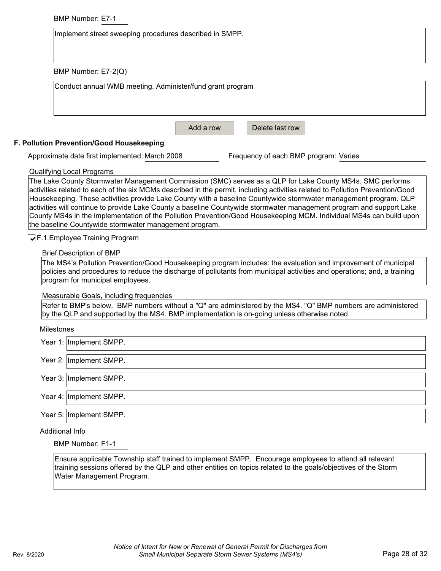|                        | <b>BMP Number: E7-1</b>                                                                                                                                                                                                                                                                                                                                                                                                                                                                                                                                                                                                                                                 |  |  |  |  |
|------------------------|-------------------------------------------------------------------------------------------------------------------------------------------------------------------------------------------------------------------------------------------------------------------------------------------------------------------------------------------------------------------------------------------------------------------------------------------------------------------------------------------------------------------------------------------------------------------------------------------------------------------------------------------------------------------------|--|--|--|--|
|                        | Implement street sweeping procedures described in SMPP.                                                                                                                                                                                                                                                                                                                                                                                                                                                                                                                                                                                                                 |  |  |  |  |
|                        |                                                                                                                                                                                                                                                                                                                                                                                                                                                                                                                                                                                                                                                                         |  |  |  |  |
|                        | BMP Number: E7-2(Q)                                                                                                                                                                                                                                                                                                                                                                                                                                                                                                                                                                                                                                                     |  |  |  |  |
|                        | Conduct annual WMB meeting. Administer/fund grant program                                                                                                                                                                                                                                                                                                                                                                                                                                                                                                                                                                                                               |  |  |  |  |
|                        |                                                                                                                                                                                                                                                                                                                                                                                                                                                                                                                                                                                                                                                                         |  |  |  |  |
|                        |                                                                                                                                                                                                                                                                                                                                                                                                                                                                                                                                                                                                                                                                         |  |  |  |  |
|                        | Add a row<br>Delete last row                                                                                                                                                                                                                                                                                                                                                                                                                                                                                                                                                                                                                                            |  |  |  |  |
|                        | F. Pollution Prevention/Good Housekeeping                                                                                                                                                                                                                                                                                                                                                                                                                                                                                                                                                                                                                               |  |  |  |  |
|                        | Approximate date first implemented: March 2008<br>Frequency of each BMP program: Varies                                                                                                                                                                                                                                                                                                                                                                                                                                                                                                                                                                                 |  |  |  |  |
|                        | <b>Qualifying Local Programs</b>                                                                                                                                                                                                                                                                                                                                                                                                                                                                                                                                                                                                                                        |  |  |  |  |
|                        | The Lake County Stormwater Management Commission (SMC) serves as a QLP for Lake County MS4s. SMC performs<br>activities related to each of the six MCMs described in the permit, including activities related to Pollution Prevention/Good<br>Housekeeping. These activities provide Lake County with a baseline Countywide stormwater management program. QLP<br>activities will continue to provide Lake County a baseline Countywide stormwater management program and support Lake<br>County MS4s in the implementation of the Pollution Prevention/Good Housekeeping MCM. Individual MS4s can build upon<br>the baseline Countywide stormwater management program. |  |  |  |  |
|                        | ◯F.1 Employee Training Program                                                                                                                                                                                                                                                                                                                                                                                                                                                                                                                                                                                                                                          |  |  |  |  |
|                        | <b>Brief Description of BMP</b>                                                                                                                                                                                                                                                                                                                                                                                                                                                                                                                                                                                                                                         |  |  |  |  |
|                        | The MS4's Pollution Prevention/Good Housekeeping program includes: the evaluation and improvement of municipal<br>policies and procedures to reduce the discharge of pollutants from municipal activities and operations; and, a training<br>program for municipal employees.                                                                                                                                                                                                                                                                                                                                                                                           |  |  |  |  |
|                        | Measurable Goals, including frequencies                                                                                                                                                                                                                                                                                                                                                                                                                                                                                                                                                                                                                                 |  |  |  |  |
|                        | Refer to BMP's below. BMP numbers without a "Q" are administered by the MS4. "Q" BMP numbers are administered<br>by the QLP and supported by the MS4. BMP implementation is on-going unless otherwise noted.                                                                                                                                                                                                                                                                                                                                                                                                                                                            |  |  |  |  |
| <b>Milestones</b>      |                                                                                                                                                                                                                                                                                                                                                                                                                                                                                                                                                                                                                                                                         |  |  |  |  |
|                        | Year 1: Implement SMPP.                                                                                                                                                                                                                                                                                                                                                                                                                                                                                                                                                                                                                                                 |  |  |  |  |
|                        | Year 2: Implement SMPP.                                                                                                                                                                                                                                                                                                                                                                                                                                                                                                                                                                                                                                                 |  |  |  |  |
|                        | Year 3: Implement SMPP.                                                                                                                                                                                                                                                                                                                                                                                                                                                                                                                                                                                                                                                 |  |  |  |  |
|                        | Year 4: Implement SMPP.                                                                                                                                                                                                                                                                                                                                                                                                                                                                                                                                                                                                                                                 |  |  |  |  |
|                        | Year 5:   Implement SMPP.                                                                                                                                                                                                                                                                                                                                                                                                                                                                                                                                                                                                                                               |  |  |  |  |
| <b>Additional Info</b> |                                                                                                                                                                                                                                                                                                                                                                                                                                                                                                                                                                                                                                                                         |  |  |  |  |
|                        | <b>BMP Number: F1-1</b>                                                                                                                                                                                                                                                                                                                                                                                                                                                                                                                                                                                                                                                 |  |  |  |  |
|                        | Ensure applicable Township staff trained to implement SMPP. Encourage employees to attend all relevant<br>training sessions offered by the QLP and other entities on topics related to the goals/objectives of the Storm                                                                                                                                                                                                                                                                                                                                                                                                                                                |  |  |  |  |

Water Management Program.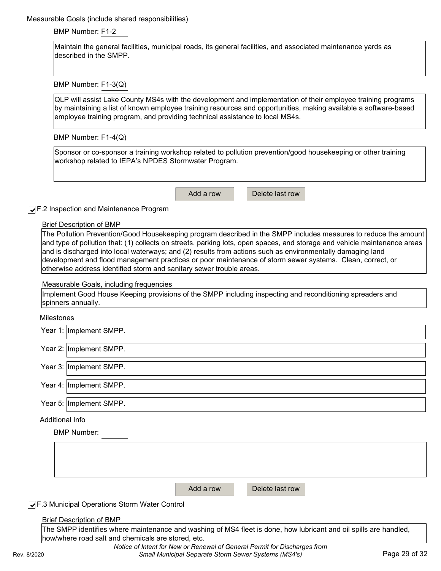Measurable Goals (include shared responsibilities)

BMP Number: F1-2

Maintain the general facilities, municipal roads, its general facilities, and associated maintenance yards as described in the SMPP.

BMP Number: F1-3(Q)

QLP will assist Lake County MS4s with the development and implementation of their employee training programs by maintaining a list of known employee training resources and opportunities, making available a software-based employee training program, and providing technical assistance to local MS4s.

BMP Number: F1-4(Q)

Sponsor or co-sponsor a training workshop related to pollution prevention/good housekeeping or other training workshop related to IEPA's NPDES Stormwater Program.

Add a row Delete last row

#### **√** F.2 Inspection and Maintenance Program

Brief Description of BMP

The Pollution Prevention/Good Housekeeping program described in the SMPP includes measures to reduce the amount and type of pollution that: (1) collects on streets, parking lots, open spaces, and storage and vehicle maintenance areas and is discharged into local waterways; and (2) results from actions such as environmentally damaging land development and flood management practices or poor maintenance of storm sewer systems. Clean, correct, or otherwise address identified storm and sanitary sewer trouble areas.

#### Measurable Goals, including frequencies

Implement Good House Keeping provisions of the SMPP including inspecting and reconditioning spreaders and spinners annually.

#### Milestones

| Year 2: Implement SMPP. | Year 1:  Implement SMPP. |
|-------------------------|--------------------------|
|                         |                          |

Year 3: Implement SMPP.

Year 4: Implement SMPP.

Year 5: Implement SMPP.

Additional Info

| <b>BMP Number:</b>                                   |           |                 |  |
|------------------------------------------------------|-----------|-----------------|--|
|                                                      |           |                 |  |
|                                                      |           |                 |  |
|                                                      |           |                 |  |
|                                                      |           |                 |  |
|                                                      |           |                 |  |
|                                                      | Add a row | Delete last row |  |
| <b>JF.3 Municipal Operations Storm Water Control</b> |           |                 |  |
| <b>Brief Description of BMP</b>                      |           |                 |  |

The SMPP identifies where maintenance and washing of MS4 fleet is done, how lubricant and oil spills are handled, how/where road salt and chemicals are stored, etc.

*Notice of Intent for New or Renewal of General Permit for Discharges from*  Rev. 8/2020 *Small Municipal Separate Storm Sewer Systems (MS4's)* Page 29 of 32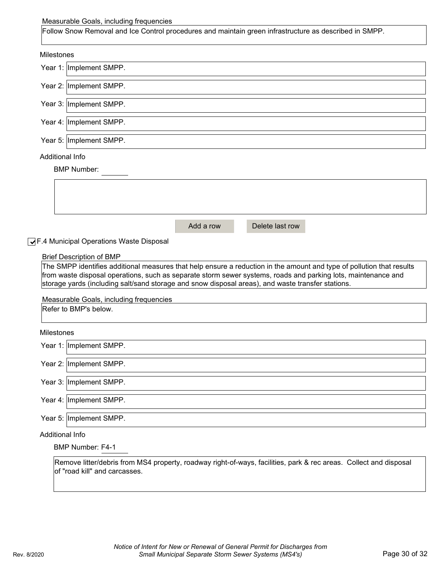#### Measurable Goals, including frequencies

| Follow Snow Removal and Ice Control procedures and maintain green infrastructure as described in SMPP. |           |                 |  |  |
|--------------------------------------------------------------------------------------------------------|-----------|-----------------|--|--|
| <b>Milestones</b>                                                                                      |           |                 |  |  |
| Year 1: Implement SMPP.                                                                                |           |                 |  |  |
| Year 2: Implement SMPP.                                                                                |           |                 |  |  |
| Year 3: Implement SMPP.                                                                                |           |                 |  |  |
| Year 4: Implement SMPP.                                                                                |           |                 |  |  |
| Year 5: Implement SMPP.                                                                                |           |                 |  |  |
| Additional Info                                                                                        |           |                 |  |  |
| <b>BMP Number:</b>                                                                                     |           |                 |  |  |
|                                                                                                        |           |                 |  |  |
|                                                                                                        |           |                 |  |  |
|                                                                                                        | Add a row | Delete last row |  |  |

▼F.4 Municipal Operations Waste Disposal

#### Brief Description of BMP

The SMPP identifies additional measures that help ensure a reduction in the amount and type of pollution that results from waste disposal operations, such as separate storm sewer systems, roads and parking lots, maintenance and storage yards (including salt/sand storage and snow disposal areas), and waste transfer stations.

Measurable Goals, including frequencies

Refer to BMP's below.

#### Milestones

| Year 1: Implement SMPP. |
|-------------------------|
| Year 2: Implement SMPP. |
| Year 3: Implement SMPP. |
| Year 4: Implement SMPP. |

Year 5: Implement SMPP.

Additional Info

BMP Number: F4-1

Remove litter/debris from MS4 property, roadway right-of-ways, facilities, park & rec areas. Collect and disposal of "road kill" and carcasses.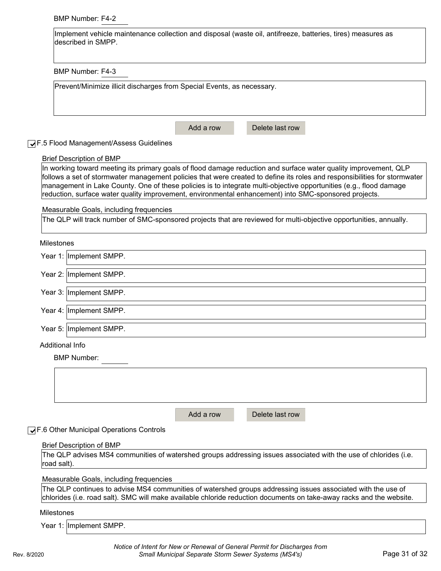#### BMP Number: F4-2

| Implement vehicle maintenance collection and disposal (waste oil, antifreeze, batteries, tires) measures as |
|-------------------------------------------------------------------------------------------------------------|
| described in SMPP.                                                                                          |
|                                                                                                             |

BMP Number: F4-3

| Prevent/Minimize illicit discharges from Special Events, as necessary. |           |                 |  |  |  |  |
|------------------------------------------------------------------------|-----------|-----------------|--|--|--|--|
|                                                                        |           |                 |  |  |  |  |
|                                                                        |           |                 |  |  |  |  |
|                                                                        |           |                 |  |  |  |  |
|                                                                        |           |                 |  |  |  |  |
|                                                                        |           |                 |  |  |  |  |
|                                                                        | Add a row | Delete last row |  |  |  |  |
|                                                                        |           |                 |  |  |  |  |

| ◯F.5 Flood Management/Assess Guidelines                                                                                                                                                                                                                                                                                                                                                                                                                                      |  |  |  |
|------------------------------------------------------------------------------------------------------------------------------------------------------------------------------------------------------------------------------------------------------------------------------------------------------------------------------------------------------------------------------------------------------------------------------------------------------------------------------|--|--|--|
| <b>Brief Description of BMP</b>                                                                                                                                                                                                                                                                                                                                                                                                                                              |  |  |  |
| In working toward meeting its primary goals of flood damage reduction and surface water quality improvement, QLP<br>follows a set of stormwater management policies that were created to define its roles and responsibilities for stormwater<br>management in Lake County. One of these policies is to integrate multi-objective opportunities (e.g., flood damage<br>reduction, surface water quality improvement, environmental enhancement) into SMC-sponsored projects. |  |  |  |
| Measurable Goals, including frequencies                                                                                                                                                                                                                                                                                                                                                                                                                                      |  |  |  |
| The QLP will track number of SMC-sponsored projects that are reviewed for multi-objective opportunities, annually.                                                                                                                                                                                                                                                                                                                                                           |  |  |  |
| <b>Milestones</b>                                                                                                                                                                                                                                                                                                                                                                                                                                                            |  |  |  |
| Year 1: Implement SMPP.                                                                                                                                                                                                                                                                                                                                                                                                                                                      |  |  |  |
| Year 2: Implement SMPP.                                                                                                                                                                                                                                                                                                                                                                                                                                                      |  |  |  |
| Year 3: Implement SMPP.                                                                                                                                                                                                                                                                                                                                                                                                                                                      |  |  |  |
| Year 4: Implement SMPP.                                                                                                                                                                                                                                                                                                                                                                                                                                                      |  |  |  |
| Year 5: Implement SMPP.                                                                                                                                                                                                                                                                                                                                                                                                                                                      |  |  |  |
| Additional Info                                                                                                                                                                                                                                                                                                                                                                                                                                                              |  |  |  |
| <b>BMP Number:</b>                                                                                                                                                                                                                                                                                                                                                                                                                                                           |  |  |  |
|                                                                                                                                                                                                                                                                                                                                                                                                                                                                              |  |  |  |
|                                                                                                                                                                                                                                                                                                                                                                                                                                                                              |  |  |  |
| Delete last row<br>Add a row                                                                                                                                                                                                                                                                                                                                                                                                                                                 |  |  |  |
| √F.6 Other Municipal Operations Controls                                                                                                                                                                                                                                                                                                                                                                                                                                     |  |  |  |
| <b>Brief Description of BMP</b>                                                                                                                                                                                                                                                                                                                                                                                                                                              |  |  |  |
| The QLP advises MS4 communities of watershed groups addressing issues associated with the use of chlorides (i.e.                                                                                                                                                                                                                                                                                                                                                             |  |  |  |

## Measurable Goals, including frequencies

The QLP continues to advise MS4 communities of watershed groups addressing issues associated with the use of chlorides (i.e. road salt). SMC will make available chloride reduction documents on take-away racks and the website.

#### Milestones

road salt).

Year 1: ∣Implement SMPP.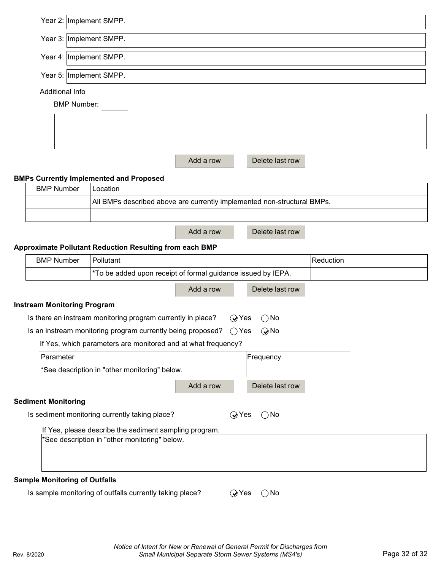| Year 2: Implement SMPP.               |                                                                         |           |                                   |           |  |
|---------------------------------------|-------------------------------------------------------------------------|-----------|-----------------------------------|-----------|--|
| Year 3: Implement SMPP.               |                                                                         |           |                                   |           |  |
| Year 4: Implement SMPP.               |                                                                         |           |                                   |           |  |
|                                       |                                                                         |           |                                   |           |  |
| Year 5: Implement SMPP.               |                                                                         |           |                                   |           |  |
| Additional Info<br><b>BMP Number:</b> |                                                                         |           |                                   |           |  |
|                                       |                                                                         |           |                                   |           |  |
|                                       |                                                                         |           |                                   |           |  |
|                                       |                                                                         |           |                                   |           |  |
|                                       |                                                                         | Add a row | Delete last row                   |           |  |
|                                       | <b>BMPs Currently Implemented and Proposed</b>                          |           |                                   |           |  |
| <b>BMP Number</b>                     | Location                                                                |           |                                   |           |  |
|                                       | All BMPs described above are currently implemented non-structural BMPs. |           |                                   |           |  |
|                                       |                                                                         |           |                                   |           |  |
|                                       |                                                                         | Add a row | Delete last row                   |           |  |
|                                       | <b>Approximate Pollutant Reduction Resulting from each BMP</b>          |           |                                   |           |  |
| <b>BMP Number</b>                     | Pollutant                                                               |           |                                   | Reduction |  |
|                                       | *To be added upon receipt of formal guidance issued by IEPA.            |           |                                   |           |  |
|                                       |                                                                         | Add a row | Delete last row                   |           |  |
| <b>Instream Monitoring Program</b>    |                                                                         |           |                                   |           |  |
|                                       | Is there an instream monitoring program currently in place?             |           | $Q$ Yes<br>$\bigcirc$ No          |           |  |
|                                       | Is an instream monitoring program currently being proposed?             |           | $\bigcirc$ Yes<br>$\bigcirc$ No   |           |  |
|                                       | If Yes, which parameters are monitored and at what frequency?           |           |                                   |           |  |
| Parameter                             |                                                                         |           | Frequency                         |           |  |
|                                       | *See description in "other monitoring" below.                           |           |                                   |           |  |
|                                       |                                                                         | Add a row | Delete last row                   |           |  |
| <b>Sediment Monitoring</b>            |                                                                         |           |                                   |           |  |
|                                       | Is sediment monitoring currently taking place?                          |           | $Q$ Yes<br>$\bigcirc$ No          |           |  |
|                                       | If Yes, please describe the sediment sampling program.                  |           |                                   |           |  |
|                                       | *See description in "other monitoring" below.                           |           |                                   |           |  |
|                                       |                                                                         |           |                                   |           |  |
|                                       |                                                                         |           |                                   |           |  |
| <b>Sample Monitoring of Outfalls</b>  |                                                                         |           |                                   |           |  |
|                                       | Is sample monitoring of outfalls currently taking place?                |           | $\mathsf{Q}$ Yes<br>$\bigcirc$ No |           |  |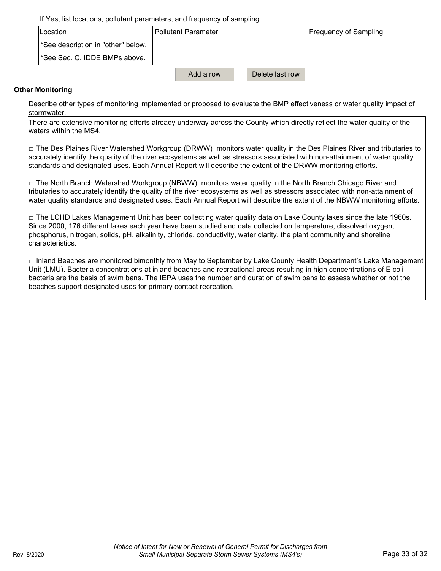If Yes, list locations, pollutant parameters, and frequency of sampling.

| <b>ILocation</b>                          | <b>Pollutant Parameter</b>   | <b>Frequency of Sampling</b> |
|-------------------------------------------|------------------------------|------------------------------|
| See description in "other" below.         |                              |                              |
| <sup>*</sup> See Sec. C. IDDE BMPs above. |                              |                              |
|                                           | Add a row<br>Delete last row |                              |

#### **Other Monitoring**

Describe other types of monitoring implemented or proposed to evaluate the BMP effectiveness or water quality impact of stormwater.

There are extensive monitoring efforts already underway across the County which directly reflect the water quality of the waters within the MS4.

 $\Box$  The Des Plaines River Watershed Workgroup (DRWW) monitors water quality in the Des Plaines River and tributaries to accurately identify the quality of the river ecosystems as well as stressors associated with non-attainment of water quality standards and designated uses. Each Annual Report will describe the extent of the DRWW monitoring efforts.

 $\Box$  The North Branch Watershed Workgroup (NBWW) monitors water quality in the North Branch Chicago River and tributaries to accurately identify the quality of the river ecosystems as well as stressors associated with non-attainment of water quality standards and designated uses. Each Annual Report will describe the extent of the NBWW monitoring efforts.

 $\Box$  The LCHD Lakes Management Unit has been collecting water quality data on Lake County lakes since the late 1960s. Since 2000, 176 different lakes each year have been studied and data collected on temperature, dissolved oxygen, phosphorus, nitrogen, solids, pH, alkalinity, chloride, conductivity, water clarity, the plant community and shoreline characteristics.

□ Inland Beaches are monitored bimonthly from May to September by Lake County Health Department's Lake Management Unit (LMU). Bacteria concentrations at inland beaches and recreational areas resulting in high concentrations of E coli bacteria are the basis of swim bans. The IEPA uses the number and duration of swim bans to assess whether or not the beaches support designated uses for primary contact recreation.